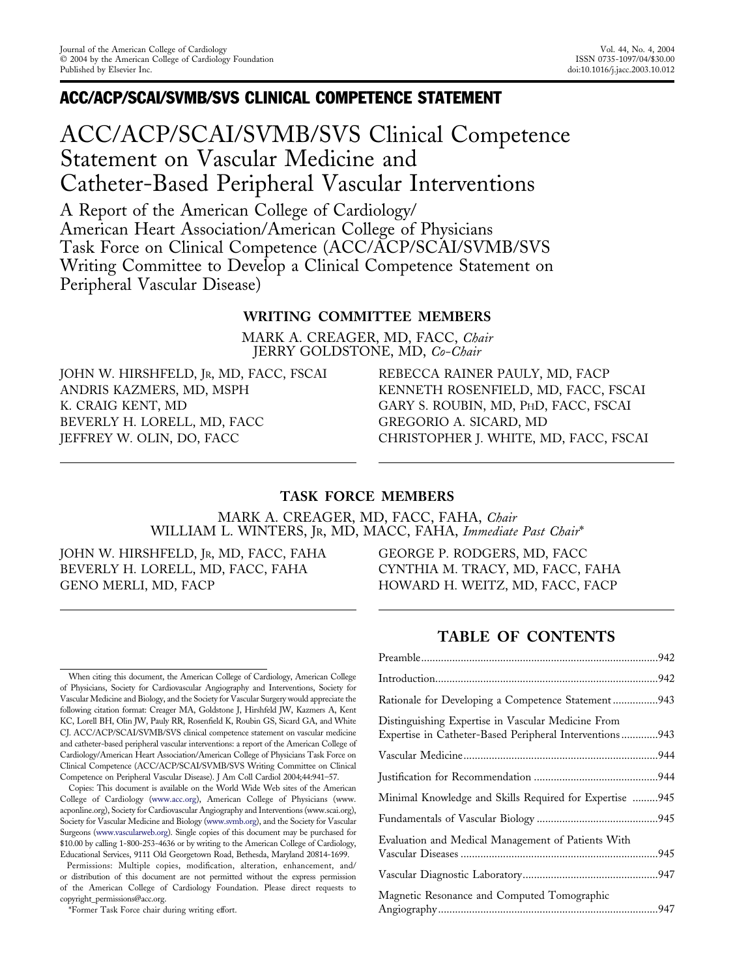# ACC/ACP/SCAI/SVMB/SVS CLINICAL COMPETENCE STATEMENT

# ACC/ACP/SCAI/SVMB/SVS Clinical Competence Statement on Vascular Medicine and Catheter-Based Peripheral Vascular Interventions

A Report of the American College of Cardiology/ American Heart Association/American College of Physicians Task Force on Clinical Competence (ACC/ACP/SCAI/SVMB/SVS Writing Committee to Develop a Clinical Competence Statement on Peripheral Vascular Disease)

# **WRITING COMMITTEE MEMBERS**

MARK A. CREAGER, MD, FACC, *Chair* JERRY GOLDSTONE, MD, *Co-Chair*

JOHN W. HIRSHFELD, JR, MD, FACC, FSCAI ANDRIS KAZMERS, MD, MSPH K. CRAIG KENT, MD BEVERLY H. LORELL, MD, FACC JEFFREY W. OLIN, DO, FACC

REBECCA RAINER PAULY, MD, FACP KENNETH ROSENFIELD, MD, FACC, FSCAI GARY S. ROUBIN, MD, PHD, FACC, FSCAI GREGORIO A. SICARD, MD CHRISTOPHER J. WHITE, MD, FACC, FSCAI

# **TASK FORCE MEMBERS**

MARK A. CREAGER, MD, FACC, FAHA, *Chair* WILLIAM L. WINTERS, JR, MD, MACC, FAHA, *Immediate Past Chair*\*

JOHN W. HIRSHFELD, JR, MD, FACC, FAHA BEVERLY H. LORELL, MD, FACC, FAHA GENO MERLI, MD, FACP

GEORGE P. RODGERS, MD, FACC CYNTHIA M. TRACY, MD, FACC, FAHA HOWARD H. WEITZ, MD, FACC, FACP

# **TABLE OF CONTENTS**

Copies: This document is available on the World Wide Web sites of the American College of Cardiology [\(www.acc.org\)](www.acc.org), American College of Physicians (www. acponline.org), Society for Cardiovascular Angiography and Interventions (www.scai.org), Society for Vascular Medicine and Biology [\(www.svmb.org\)](www.svmb.org), and the Society for Vascular Surgeons [\(www.vascularweb.org\)](www.vascularweb.org). Single copies of this document may be purchased for \$10.00 by calling 1-800-253-4636 or by writing to the American College of Cardiology, Educational Services, 9111 Old Georgetown Road, Bethesda, Maryland 20814-1699.

Permissions: Multiple copies, modification, alteration, enhancement, and/ or distribution of this document are not permitted without the express permission of the American College of Cardiology Foundation. Please direct requests to copyright\_permissions@acc.org.

\*Former Task Force chair during writing effort.

| Rationale for Developing a Competence Statement943                                                             |  |
|----------------------------------------------------------------------------------------------------------------|--|
| Distinguishing Expertise in Vascular Medicine From<br>Expertise in Catheter-Based Peripheral Interventions 943 |  |
|                                                                                                                |  |
|                                                                                                                |  |
| Minimal Knowledge and Skills Required for Expertise 945                                                        |  |
|                                                                                                                |  |
| Evaluation and Medical Management of Patients With                                                             |  |
|                                                                                                                |  |
| Magnetic Resonance and Computed Tomographic                                                                    |  |
|                                                                                                                |  |

When citing this document, the American College of Cardiology, American College of Physicians, Society for Cardiovascular Angiography and Interventions, Society for Vascular Medicine and Biology, and the Society for Vascular Surgery would appreciate the following citation format: Creager MA, Goldstone J, Hirshfeld JW, Kazmers A, Kent KC, Lorell BH, Olin JW, Pauly RR, Rosenfield K, Roubin GS, Sicard GA, and White CJ. ACC/ACP/SCAI/SVMB/SVS clinical competence statement on vascular medicine and catheter-based peripheral vascular interventions: a report of the American College of Cardiology/American Heart Association/American College of Physicians Task Force on Clinical Competence (ACC/ACP/SCAI/SVMB/SVS Writing Committee on Clinical Competence on Peripheral Vascular Disease). J Am Coll Cardiol 2004;44:941–57.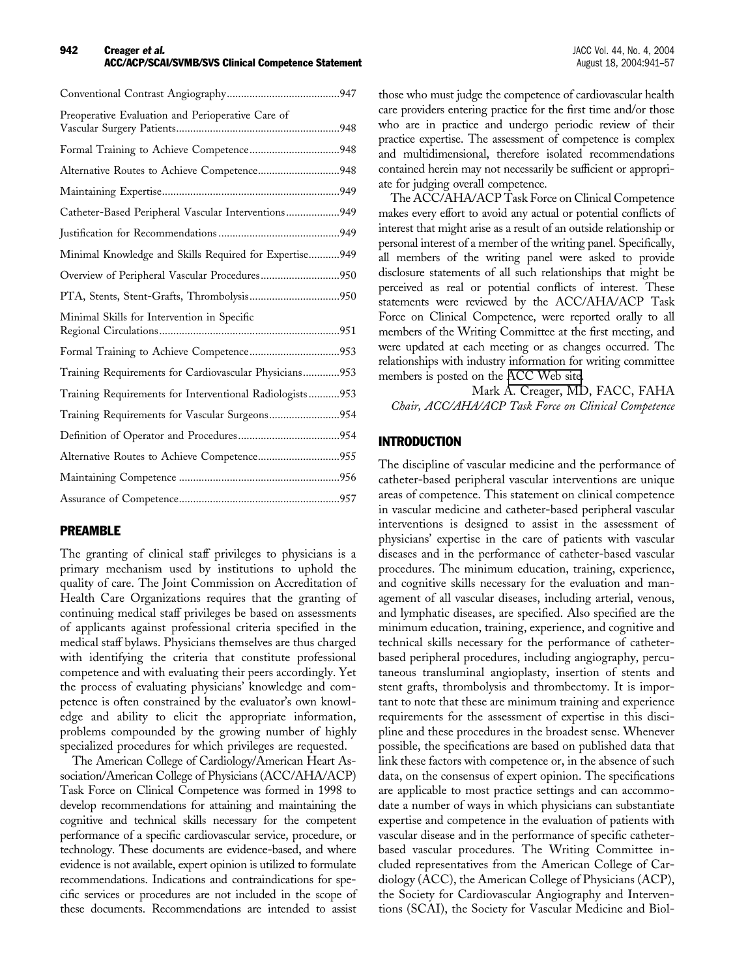### **942 Creager** *et al.* **Creager** *et al.* **Creager** *et al.* **<b>Creager** *et al.* **Creager** *et al.* **Creager** *et al.* **Creager** *et al.* **Creager** *et al.* **Creager** *et al.* **Creager** *et al.* **Creager** *et al.* **Creager** ACC/ACP/SCAI/SVMB/SVS Clinical Competence Statement August 18, 2004:941-57

| Preoperative Evaluation and Perioperative Care of        |
|----------------------------------------------------------|
|                                                          |
|                                                          |
|                                                          |
| Catheter-Based Peripheral Vascular Interventions949      |
|                                                          |
| Minimal Knowledge and Skills Required for Expertise949   |
| Overview of Peripheral Vascular Procedures950            |
|                                                          |
| Minimal Skills for Intervention in Specific              |
|                                                          |
| Training Requirements for Cardiovascular Physicians953   |
| Training Requirements for Interventional Radiologists953 |
| Training Requirements for Vascular Surgeons954           |
|                                                          |
| Alternative Routes to Achieve Competence955              |
|                                                          |
|                                                          |

# PREAMBLE

The granting of clinical staff privileges to physicians is a primary mechanism used by institutions to uphold the quality of care. The Joint Commission on Accreditation of Health Care Organizations requires that the granting of continuing medical staff privileges be based on assessments of applicants against professional criteria specified in the medical staff bylaws. Physicians themselves are thus charged with identifying the criteria that constitute professional competence and with evaluating their peers accordingly. Yet the process of evaluating physicians' knowledge and competence is often constrained by the evaluator's own knowledge and ability to elicit the appropriate information, problems compounded by the growing number of highly specialized procedures for which privileges are requested.

The American College of Cardiology/American Heart Association/American College of Physicians (ACC/AHA/ACP) Task Force on Clinical Competence was formed in 1998 to develop recommendations for attaining and maintaining the cognitive and technical skills necessary for the competent performance of a specific cardiovascular service, procedure, or technology. These documents are evidence-based, and where evidence is not available, expert opinion is utilized to formulate recommendations. Indications and contraindications for specific services or procedures are not included in the scope of these documents. Recommendations are intended to assist

those who must judge the competence of cardiovascular health care providers entering practice for the first time and/or those who are in practice and undergo periodic review of their practice expertise. The assessment of competence is complex and multidimensional, therefore isolated recommendations contained herein may not necessarily be sufficient or appropriate for judging overall competence.

The ACC/AHA/ACP Task Force on Clinical Competence makes every effort to avoid any actual or potential conflicts of interest that might arise as a result of an outside relationship or personal interest of a member of the writing panel. Specifically, all members of the writing panel were asked to provide disclosure statements of all such relationships that might be perceived as real or potential conflicts of interest. These statements were reviewed by the ACC/AHA/ACP Task Force on Clinical Competence, were reported orally to all members of the Writing Committee at the first meeting, and were updated at each meeting or as changes occurred. The relationships with industry information for writing committee members is posted on the [ACC Web site.](http://www.acc.org/clinical/competence/pvd/conflict.pdf)

Mark A. Creager, MD, FACC, FAHA *Chair, ACC/AHA/ACP Task Force on Clinical Competence*

# INTRODUCTION

The discipline of vascular medicine and the performance of catheter-based peripheral vascular interventions are unique areas of competence. This statement on clinical competence in vascular medicine and catheter-based peripheral vascular interventions is designed to assist in the assessment of physicians' expertise in the care of patients with vascular diseases and in the performance of catheter-based vascular procedures. The minimum education, training, experience, and cognitive skills necessary for the evaluation and management of all vascular diseases, including arterial, venous, and lymphatic diseases, are specified. Also specified are the minimum education, training, experience, and cognitive and technical skills necessary for the performance of catheterbased peripheral procedures, including angiography, percutaneous transluminal angioplasty, insertion of stents and stent grafts, thrombolysis and thrombectomy. It is important to note that these are minimum training and experience requirements for the assessment of expertise in this discipline and these procedures in the broadest sense. Whenever possible, the specifications are based on published data that link these factors with competence or, in the absence of such data, on the consensus of expert opinion. The specifications are applicable to most practice settings and can accommodate a number of ways in which physicians can substantiate expertise and competence in the evaluation of patients with vascular disease and in the performance of specific catheterbased vascular procedures. The Writing Committee included representatives from the American College of Cardiology (ACC), the American College of Physicians (ACP), the Society for Cardiovascular Angiography and Interventions (SCAI), the Society for Vascular Medicine and Biol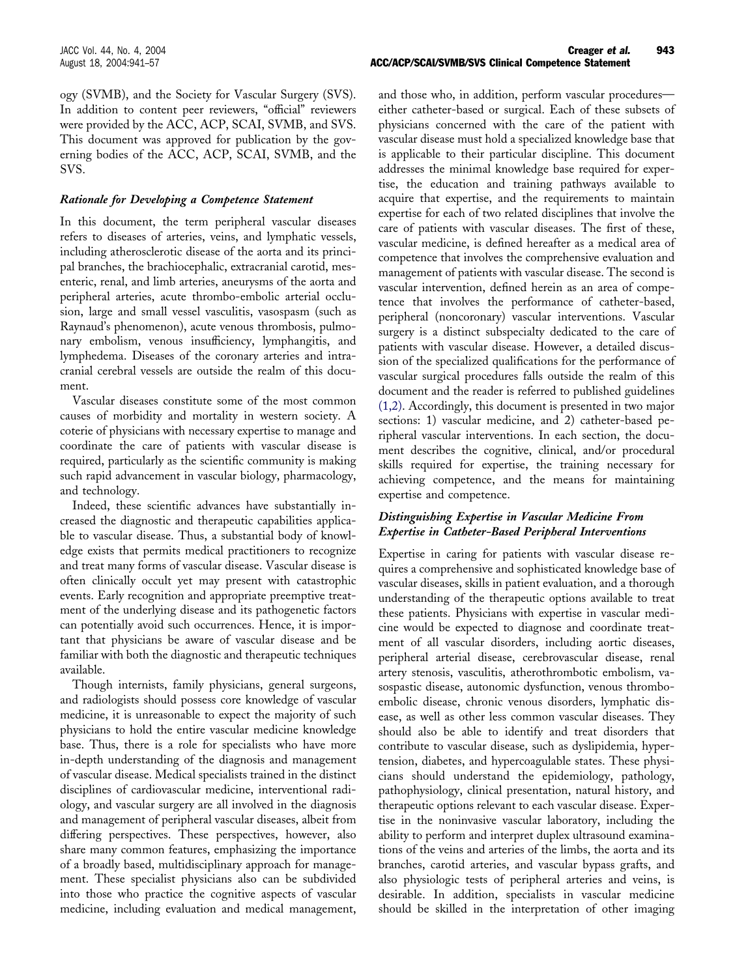ogy (SVMB), and the Society for Vascular Surgery (SVS). In addition to content peer reviewers, "official" reviewers were provided by the ACC, ACP, SCAI, SVMB, and SVS. This document was approved for publication by the governing bodies of the ACC, ACP, SCAI, SVMB, and the SVS.

### *Rationale for Developing a Competence Statement*

In this document, the term peripheral vascular diseases refers to diseases of arteries, veins, and lymphatic vessels, including atherosclerotic disease of the aorta and its principal branches, the brachiocephalic, extracranial carotid, mesenteric, renal, and limb arteries, aneurysms of the aorta and peripheral arteries, acute thrombo-embolic arterial occlusion, large and small vessel vasculitis, vasospasm (such as Raynaud's phenomenon), acute venous thrombosis, pulmonary embolism, venous insufficiency, lymphangitis, and lymphedema. Diseases of the coronary arteries and intracranial cerebral vessels are outside the realm of this document.

Vascular diseases constitute some of the most common causes of morbidity and mortality in western society. A coterie of physicians with necessary expertise to manage and coordinate the care of patients with vascular disease is required, particularly as the scientific community is making such rapid advancement in vascular biology, pharmacology, and technology.

Indeed, these scientific advances have substantially increased the diagnostic and therapeutic capabilities applicable to vascular disease. Thus, a substantial body of knowledge exists that permits medical practitioners to recognize and treat many forms of vascular disease. Vascular disease is often clinically occult yet may present with catastrophic events. Early recognition and appropriate preemptive treatment of the underlying disease and its pathogenetic factors can potentially avoid such occurrences. Hence, it is important that physicians be aware of vascular disease and be familiar with both the diagnostic and therapeutic techniques available.

Though internists, family physicians, general surgeons, and radiologists should possess core knowledge of vascular medicine, it is unreasonable to expect the majority of such physicians to hold the entire vascular medicine knowledge base. Thus, there is a role for specialists who have more in-depth understanding of the diagnosis and management of vascular disease. Medical specialists trained in the distinct disciplines of cardiovascular medicine, interventional radiology, and vascular surgery are all involved in the diagnosis and management of peripheral vascular diseases, albeit from differing perspectives. These perspectives, however, also share many common features, emphasizing the importance of a broadly based, multidisciplinary approach for management. These specialist physicians also can be subdivided into those who practice the cognitive aspects of vascular medicine, including evaluation and medical management,

and those who, in addition, perform vascular procedures either catheter-based or surgical. Each of these subsets of physicians concerned with the care of the patient with vascular disease must hold a specialized knowledge base that is applicable to their particular discipline. This document addresses the minimal knowledge base required for expertise, the education and training pathways available to acquire that expertise, and the requirements to maintain expertise for each of two related disciplines that involve the care of patients with vascular diseases. The first of these, vascular medicine, is defined hereafter as a medical area of competence that involves the comprehensive evaluation and management of patients with vascular disease. The second is vascular intervention, defined herein as an area of competence that involves the performance of catheter-based, peripheral (noncoronary) vascular interventions. Vascular surgery is a distinct subspecialty dedicated to the care of patients with vascular disease. However, a detailed discussion of the specialized qualifications for the performance of vascular surgical procedures falls outside the realm of this document and the reader is referred to published guidelines [\(1,2\).](#page-16-0) Accordingly, this document is presented in two major sections: 1) vascular medicine, and 2) catheter-based peripheral vascular interventions. In each section, the document describes the cognitive, clinical, and/or procedural skills required for expertise, the training necessary for achieving competence, and the means for maintaining expertise and competence.

# *Distinguishing Expertise in Vascular Medicine From Expertise in Catheter-Based Peripheral Interventions*

Expertise in caring for patients with vascular disease requires a comprehensive and sophisticated knowledge base of vascular diseases, skills in patient evaluation, and a thorough understanding of the therapeutic options available to treat these patients. Physicians with expertise in vascular medicine would be expected to diagnose and coordinate treatment of all vascular disorders, including aortic diseases, peripheral arterial disease, cerebrovascular disease, renal artery stenosis, vasculitis, atherothrombotic embolism, vasospastic disease, autonomic dysfunction, venous thromboembolic disease, chronic venous disorders, lymphatic disease, as well as other less common vascular diseases. They should also be able to identify and treat disorders that contribute to vascular disease, such as dyslipidemia, hypertension, diabetes, and hypercoagulable states. These physicians should understand the epidemiology, pathology, pathophysiology, clinical presentation, natural history, and therapeutic options relevant to each vascular disease. Expertise in the noninvasive vascular laboratory, including the ability to perform and interpret duplex ultrasound examinations of the veins and arteries of the limbs, the aorta and its branches, carotid arteries, and vascular bypass grafts, and also physiologic tests of peripheral arteries and veins, is desirable. In addition, specialists in vascular medicine should be skilled in the interpretation of other imaging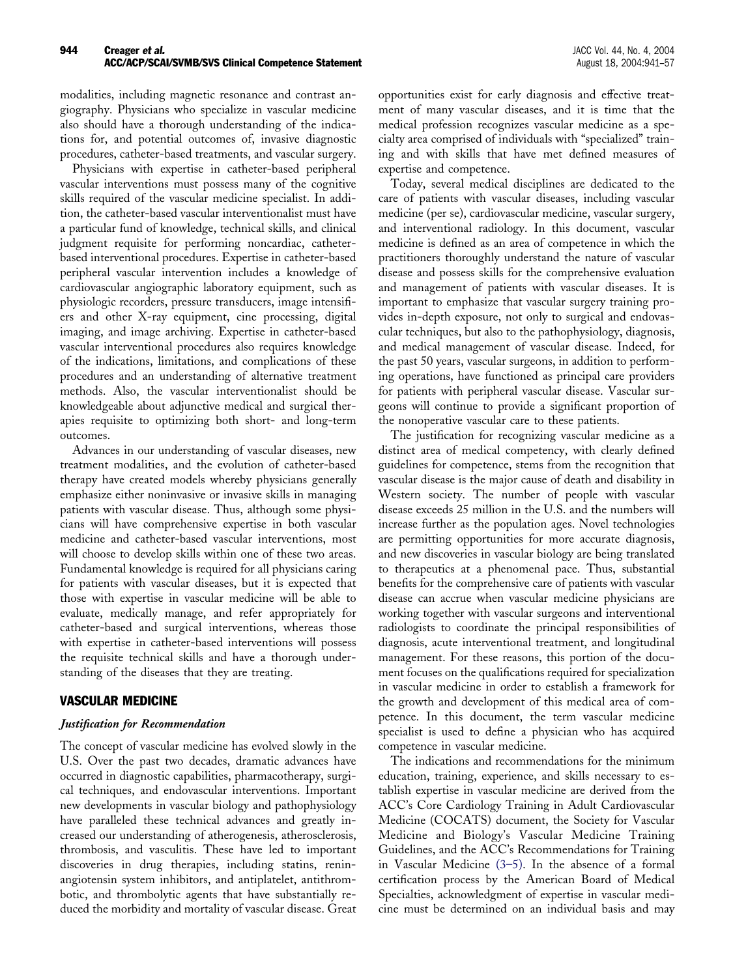modalities, including magnetic resonance and contrast angiography. Physicians who specialize in vascular medicine also should have a thorough understanding of the indications for, and potential outcomes of, invasive diagnostic procedures, catheter-based treatments, and vascular surgery.

Physicians with expertise in catheter-based peripheral vascular interventions must possess many of the cognitive skills required of the vascular medicine specialist. In addition, the catheter-based vascular interventionalist must have a particular fund of knowledge, technical skills, and clinical judgment requisite for performing noncardiac, catheterbased interventional procedures. Expertise in catheter-based peripheral vascular intervention includes a knowledge of cardiovascular angiographic laboratory equipment, such as physiologic recorders, pressure transducers, image intensifiers and other X-ray equipment, cine processing, digital imaging, and image archiving. Expertise in catheter-based vascular interventional procedures also requires knowledge of the indications, limitations, and complications of these procedures and an understanding of alternative treatment methods. Also, the vascular interventionalist should be knowledgeable about adjunctive medical and surgical therapies requisite to optimizing both short- and long-term outcomes.

Advances in our understanding of vascular diseases, new treatment modalities, and the evolution of catheter-based therapy have created models whereby physicians generally emphasize either noninvasive or invasive skills in managing patients with vascular disease. Thus, although some physicians will have comprehensive expertise in both vascular medicine and catheter-based vascular interventions, most will choose to develop skills within one of these two areas. Fundamental knowledge is required for all physicians caring for patients with vascular diseases, but it is expected that those with expertise in vascular medicine will be able to evaluate, medically manage, and refer appropriately for catheter-based and surgical interventions, whereas those with expertise in catheter-based interventions will possess the requisite technical skills and have a thorough understanding of the diseases that they are treating.

# VASCULAR MEDICINE

# *Justification for Recommendation*

The concept of vascular medicine has evolved slowly in the U.S. Over the past two decades, dramatic advances have occurred in diagnostic capabilities, pharmacotherapy, surgical techniques, and endovascular interventions. Important new developments in vascular biology and pathophysiology have paralleled these technical advances and greatly increased our understanding of atherogenesis, atherosclerosis, thrombosis, and vasculitis. These have led to important discoveries in drug therapies, including statins, reninangiotensin system inhibitors, and antiplatelet, antithrombotic, and thrombolytic agents that have substantially reduced the morbidity and mortality of vascular disease. Great opportunities exist for early diagnosis and effective treatment of many vascular diseases, and it is time that the medical profession recognizes vascular medicine as a specialty area comprised of individuals with "specialized" training and with skills that have met defined measures of expertise and competence.

Today, several medical disciplines are dedicated to the care of patients with vascular diseases, including vascular medicine (per se), cardiovascular medicine, vascular surgery, and interventional radiology. In this document, vascular medicine is defined as an area of competence in which the practitioners thoroughly understand the nature of vascular disease and possess skills for the comprehensive evaluation and management of patients with vascular diseases. It is important to emphasize that vascular surgery training provides in-depth exposure, not only to surgical and endovascular techniques, but also to the pathophysiology, diagnosis, and medical management of vascular disease. Indeed, for the past 50 years, vascular surgeons, in addition to performing operations, have functioned as principal care providers for patients with peripheral vascular disease. Vascular surgeons will continue to provide a significant proportion of the nonoperative vascular care to these patients.

The justification for recognizing vascular medicine as a distinct area of medical competency, with clearly defined guidelines for competence, stems from the recognition that vascular disease is the major cause of death and disability in Western society. The number of people with vascular disease exceeds 25 million in the U.S. and the numbers will increase further as the population ages. Novel technologies are permitting opportunities for more accurate diagnosis, and new discoveries in vascular biology are being translated to therapeutics at a phenomenal pace. Thus, substantial benefits for the comprehensive care of patients with vascular disease can accrue when vascular medicine physicians are working together with vascular surgeons and interventional radiologists to coordinate the principal responsibilities of diagnosis, acute interventional treatment, and longitudinal management. For these reasons, this portion of the document focuses on the qualifications required for specialization in vascular medicine in order to establish a framework for the growth and development of this medical area of competence. In this document, the term vascular medicine specialist is used to define a physician who has acquired competence in vascular medicine.

The indications and recommendations for the minimum education, training, experience, and skills necessary to establish expertise in vascular medicine are derived from the ACC's Core Cardiology Training in Adult Cardiovascular Medicine (COCATS) document, the Society for Vascular Medicine and Biology's Vascular Medicine Training Guidelines, and the ACC's Recommendations for Training in Vascular Medicine [\(3–5\).](#page-16-0) In the absence of a formal certification process by the American Board of Medical Specialties, acknowledgment of expertise in vascular medicine must be determined on an individual basis and may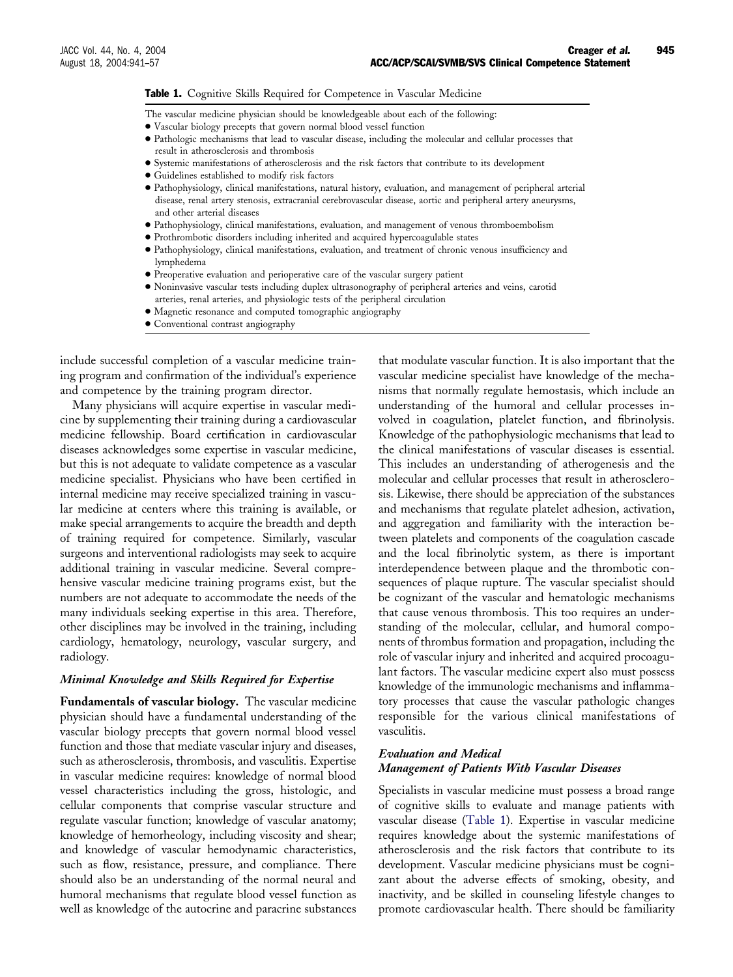#### <span id="page-4-0"></span>Table 1. Cognitive Skills Required for Competence in Vascular Medicine

- The vascular medicine physician should be knowledgeable about each of the following:
- Vascular biology precepts that govern normal blood vessel function
- Pathologic mechanisms that lead to vascular disease, including the molecular and cellular processes that result in atherosclerosis and thrombosis
- Systemic manifestations of atherosclerosis and the risk factors that contribute to its development
- Guidelines established to modify risk factors
- Pathophysiology, clinical manifestations, natural history, evaluation, and management of peripheral arterial disease, renal artery stenosis, extracranial cerebrovascular disease, aortic and peripheral artery aneurysms, and other arterial diseases
- Pathophysiology, clinical manifestations, evaluation, and management of venous thromboembolism
- Prothrombotic disorders including inherited and acquired hypercoagulable states
- Pathophysiology, clinical manifestations, evaluation, and treatment of chronic venous insufficiency and lymphedema
- Preoperative evaluation and perioperative care of the vascular surgery patient
- Noninvasive vascular tests including duplex ultrasonography of peripheral arteries and veins, carotid arteries, renal arteries, and physiologic tests of the peripheral circulation
- Magnetic resonance and computed tomographic angiography
- Conventional contrast angiography

include successful completion of a vascular medicine training program and confirmation of the individual's experience and competence by the training program director.

Many physicians will acquire expertise in vascular medicine by supplementing their training during a cardiovascular medicine fellowship. Board certification in cardiovascular diseases acknowledges some expertise in vascular medicine, but this is not adequate to validate competence as a vascular medicine specialist. Physicians who have been certified in internal medicine may receive specialized training in vascular medicine at centers where this training is available, or make special arrangements to acquire the breadth and depth of training required for competence. Similarly, vascular surgeons and interventional radiologists may seek to acquire additional training in vascular medicine. Several comprehensive vascular medicine training programs exist, but the numbers are not adequate to accommodate the needs of the many individuals seeking expertise in this area. Therefore, other disciplines may be involved in the training, including cardiology, hematology, neurology, vascular surgery, and radiology.

### *Minimal Knowledge and Skills Required for Expertise*

**Fundamentals of vascular biology.** The vascular medicine physician should have a fundamental understanding of the vascular biology precepts that govern normal blood vessel function and those that mediate vascular injury and diseases, such as atherosclerosis, thrombosis, and vasculitis. Expertise in vascular medicine requires: knowledge of normal blood vessel characteristics including the gross, histologic, and cellular components that comprise vascular structure and regulate vascular function; knowledge of vascular anatomy; knowledge of hemorheology, including viscosity and shear; and knowledge of vascular hemodynamic characteristics, such as flow, resistance, pressure, and compliance. There should also be an understanding of the normal neural and humoral mechanisms that regulate blood vessel function as well as knowledge of the autocrine and paracrine substances

that modulate vascular function. It is also important that the vascular medicine specialist have knowledge of the mechanisms that normally regulate hemostasis, which include an understanding of the humoral and cellular processes involved in coagulation, platelet function, and fibrinolysis. Knowledge of the pathophysiologic mechanisms that lead to the clinical manifestations of vascular diseases is essential. This includes an understanding of atherogenesis and the molecular and cellular processes that result in atherosclerosis. Likewise, there should be appreciation of the substances and mechanisms that regulate platelet adhesion, activation, and aggregation and familiarity with the interaction between platelets and components of the coagulation cascade and the local fibrinolytic system, as there is important interdependence between plaque and the thrombotic consequences of plaque rupture. The vascular specialist should be cognizant of the vascular and hematologic mechanisms that cause venous thrombosis. This too requires an understanding of the molecular, cellular, and humoral components of thrombus formation and propagation, including the role of vascular injury and inherited and acquired procoagulant factors. The vascular medicine expert also must possess knowledge of the immunologic mechanisms and inflammatory processes that cause the vascular pathologic changes responsible for the various clinical manifestations of vasculitis.

# *Evaluation and Medical Management of Patients With Vascular Diseases*

Specialists in vascular medicine must possess a broad range of cognitive skills to evaluate and manage patients with vascular disease (Table 1). Expertise in vascular medicine requires knowledge about the systemic manifestations of atherosclerosis and the risk factors that contribute to its development. Vascular medicine physicians must be cognizant about the adverse effects of smoking, obesity, and inactivity, and be skilled in counseling lifestyle changes to promote cardiovascular health. There should be familiarity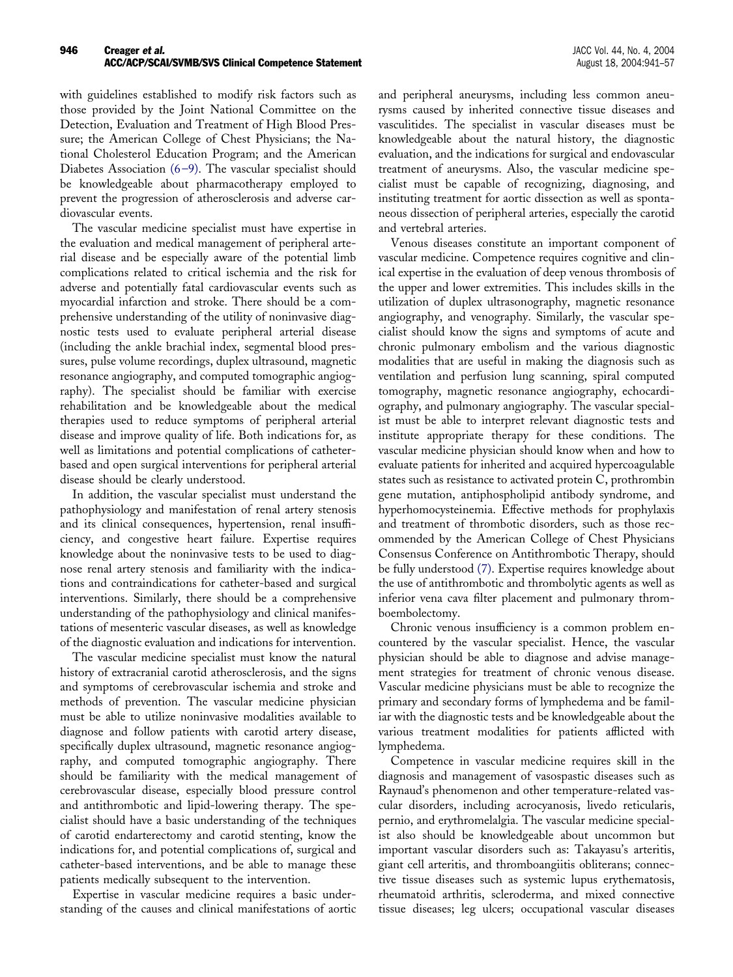#### **946 Creager et al. Creager et al. Creager et al. Creager et al. JACC Vol. 44, No. 4, 2004** ACC/ACP/SCAI/SVMB/SVS Clinical Competence Statement August 18, 2004:941-57

with guidelines established to modify risk factors such as those provided by the Joint National Committee on the Detection, Evaluation and Treatment of High Blood Pressure; the American College of Chest Physicians; the National Cholesterol Education Program; and the American Diabetes Association [\(6–9\).](#page-16-0) The vascular specialist should be knowledgeable about pharmacotherapy employed to prevent the progression of atherosclerosis and adverse cardiovascular events.

The vascular medicine specialist must have expertise in the evaluation and medical management of peripheral arterial disease and be especially aware of the potential limb complications related to critical ischemia and the risk for adverse and potentially fatal cardiovascular events such as myocardial infarction and stroke. There should be a comprehensive understanding of the utility of noninvasive diagnostic tests used to evaluate peripheral arterial disease (including the ankle brachial index, segmental blood pressures, pulse volume recordings, duplex ultrasound, magnetic resonance angiography, and computed tomographic angiography). The specialist should be familiar with exercise rehabilitation and be knowledgeable about the medical therapies used to reduce symptoms of peripheral arterial disease and improve quality of life. Both indications for, as well as limitations and potential complications of catheterbased and open surgical interventions for peripheral arterial disease should be clearly understood.

In addition, the vascular specialist must understand the pathophysiology and manifestation of renal artery stenosis and its clinical consequences, hypertension, renal insufficiency, and congestive heart failure. Expertise requires knowledge about the noninvasive tests to be used to diagnose renal artery stenosis and familiarity with the indications and contraindications for catheter-based and surgical interventions. Similarly, there should be a comprehensive understanding of the pathophysiology and clinical manifestations of mesenteric vascular diseases, as well as knowledge of the diagnostic evaluation and indications for intervention.

The vascular medicine specialist must know the natural history of extracranial carotid atherosclerosis, and the signs and symptoms of cerebrovascular ischemia and stroke and methods of prevention. The vascular medicine physician must be able to utilize noninvasive modalities available to diagnose and follow patients with carotid artery disease, specifically duplex ultrasound, magnetic resonance angiography, and computed tomographic angiography. There should be familiarity with the medical management of cerebrovascular disease, especially blood pressure control and antithrombotic and lipid-lowering therapy. The specialist should have a basic understanding of the techniques of carotid endarterectomy and carotid stenting, know the indications for, and potential complications of, surgical and catheter-based interventions, and be able to manage these patients medically subsequent to the intervention.

Expertise in vascular medicine requires a basic understanding of the causes and clinical manifestations of aortic

and peripheral aneurysms, including less common aneurysms caused by inherited connective tissue diseases and vasculitides. The specialist in vascular diseases must be knowledgeable about the natural history, the diagnostic evaluation, and the indications for surgical and endovascular treatment of aneurysms. Also, the vascular medicine specialist must be capable of recognizing, diagnosing, and instituting treatment for aortic dissection as well as spontaneous dissection of peripheral arteries, especially the carotid and vertebral arteries.

Venous diseases constitute an important component of vascular medicine. Competence requires cognitive and clinical expertise in the evaluation of deep venous thrombosis of the upper and lower extremities. This includes skills in the utilization of duplex ultrasonography, magnetic resonance angiography, and venography. Similarly, the vascular specialist should know the signs and symptoms of acute and chronic pulmonary embolism and the various diagnostic modalities that are useful in making the diagnosis such as ventilation and perfusion lung scanning, spiral computed tomography, magnetic resonance angiography, echocardiography, and pulmonary angiography. The vascular specialist must be able to interpret relevant diagnostic tests and institute appropriate therapy for these conditions. The vascular medicine physician should know when and how to evaluate patients for inherited and acquired hypercoagulable states such as resistance to activated protein C, prothrombin gene mutation, antiphospholipid antibody syndrome, and hyperhomocysteinemia. Effective methods for prophylaxis and treatment of thrombotic disorders, such as those recommended by the American College of Chest Physicians Consensus Conference on Antithrombotic Therapy, should be fully understood [\(7\).](#page-16-0) Expertise requires knowledge about the use of antithrombotic and thrombolytic agents as well as inferior vena cava filter placement and pulmonary thromboembolectomy.

Chronic venous insufficiency is a common problem encountered by the vascular specialist. Hence, the vascular physician should be able to diagnose and advise management strategies for treatment of chronic venous disease. Vascular medicine physicians must be able to recognize the primary and secondary forms of lymphedema and be familiar with the diagnostic tests and be knowledgeable about the various treatment modalities for patients afflicted with lymphedema.

Competence in vascular medicine requires skill in the diagnosis and management of vasospastic diseases such as Raynaud's phenomenon and other temperature-related vascular disorders, including acrocyanosis, livedo reticularis, pernio, and erythromelalgia. The vascular medicine specialist also should be knowledgeable about uncommon but important vascular disorders such as: Takayasu's arteritis, giant cell arteritis, and thromboangiitis obliterans; connective tissue diseases such as systemic lupus erythematosis, rheumatoid arthritis, scleroderma, and mixed connective tissue diseases; leg ulcers; occupational vascular diseases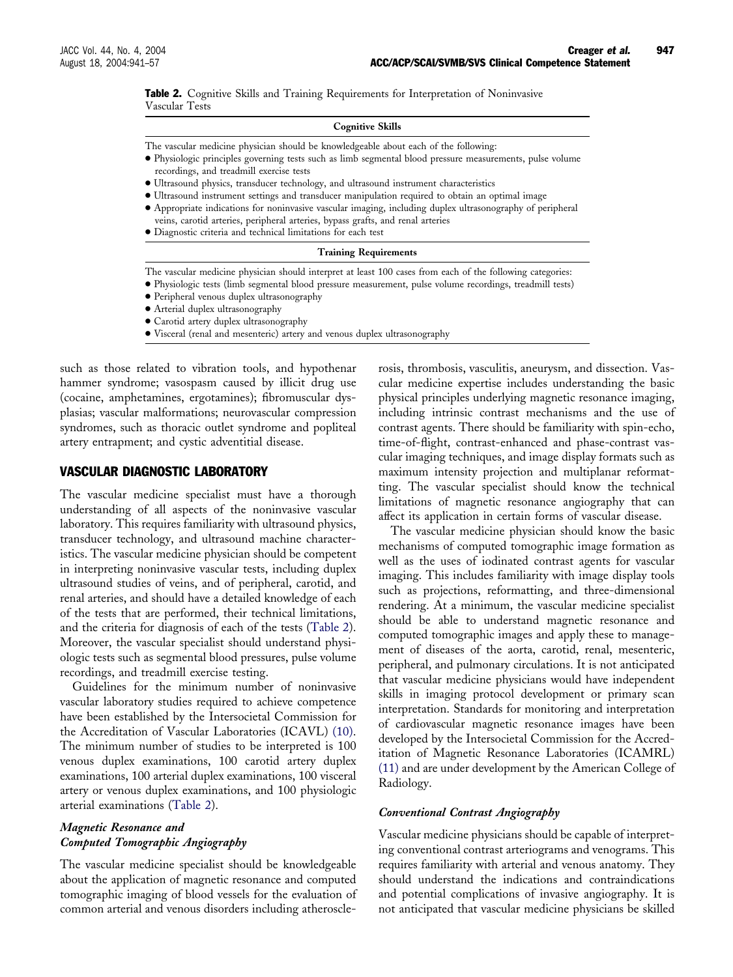Table 2. Cognitive Skills and Training Requirements for Interpretation of Noninvasive Vascular Tests

#### **Cognitive Skills**

- The vascular medicine physician should be knowledgeable about each of the following:
- Physiologic principles governing tests such as limb segmental blood pressure measurements, pulse volume recordings, and treadmill exercise tests
- Ultrasound physics, transducer technology, and ultrasound instrument characteristics
- Ultrasound instrument settings and transducer manipulation required to obtain an optimal image
- Appropriate indications for noninvasive vascular imaging, including duplex ultrasonography of peripheral veins, carotid arteries, peripheral arteries, bypass grafts, and renal arteries
- Diagnostic criteria and technical limitations for each test

#### **Training Requirements**

The vascular medicine physician should interpret at least 100 cases from each of the following categories:

- Physiologic tests (limb segmental blood pressure measurement, pulse volume recordings, treadmill tests)
- Peripheral venous duplex ultrasonography
- Arterial duplex ultrasonography
- Carotid artery duplex ultrasonography
- Visceral (renal and mesenteric) artery and venous duplex ultrasonography

such as those related to vibration tools, and hypothenar hammer syndrome; vasospasm caused by illicit drug use (cocaine, amphetamines, ergotamines); fibromuscular dysplasias; vascular malformations; neurovascular compression syndromes, such as thoracic outlet syndrome and popliteal artery entrapment; and cystic adventitial disease.

### VASCULAR DIAGNOSTIC LABORATORY

The vascular medicine specialist must have a thorough understanding of all aspects of the noninvasive vascular laboratory. This requires familiarity with ultrasound physics, transducer technology, and ultrasound machine characteristics. The vascular medicine physician should be competent in interpreting noninvasive vascular tests, including duplex ultrasound studies of veins, and of peripheral, carotid, and renal arteries, and should have a detailed knowledge of each of the tests that are performed, their technical limitations, and the criteria for diagnosis of each of the tests (Table 2). Moreover, the vascular specialist should understand physiologic tests such as segmental blood pressures, pulse volume recordings, and treadmill exercise testing.

Guidelines for the minimum number of noninvasive vascular laboratory studies required to achieve competence have been established by the Intersocietal Commission for the Accreditation of Vascular Laboratories (ICAVL) [\(10\).](#page-16-0) The minimum number of studies to be interpreted is 100 venous duplex examinations, 100 carotid artery duplex examinations, 100 arterial duplex examinations, 100 visceral artery or venous duplex examinations, and 100 physiologic arterial examinations (Table 2).

# *Magnetic Resonance and Computed Tomographic Angiography*

The vascular medicine specialist should be knowledgeable about the application of magnetic resonance and computed tomographic imaging of blood vessels for the evaluation of common arterial and venous disorders including atherosclerosis, thrombosis, vasculitis, aneurysm, and dissection. Vascular medicine expertise includes understanding the basic physical principles underlying magnetic resonance imaging, including intrinsic contrast mechanisms and the use of contrast agents. There should be familiarity with spin-echo, time-of-flight, contrast-enhanced and phase-contrast vascular imaging techniques, and image display formats such as maximum intensity projection and multiplanar reformatting. The vascular specialist should know the technical limitations of magnetic resonance angiography that can affect its application in certain forms of vascular disease.

The vascular medicine physician should know the basic mechanisms of computed tomographic image formation as well as the uses of iodinated contrast agents for vascular imaging. This includes familiarity with image display tools such as projections, reformatting, and three-dimensional rendering. At a minimum, the vascular medicine specialist should be able to understand magnetic resonance and computed tomographic images and apply these to management of diseases of the aorta, carotid, renal, mesenteric, peripheral, and pulmonary circulations. It is not anticipated that vascular medicine physicians would have independent skills in imaging protocol development or primary scan interpretation. Standards for monitoring and interpretation of cardiovascular magnetic resonance images have been developed by the Intersocietal Commission for the Accreditation of Magnetic Resonance Laboratories (ICAMRL) [\(11\)](#page-16-0) and are under development by the American College of Radiology.

#### *Conventional Contrast Angiography*

Vascular medicine physicians should be capable of interpreting conventional contrast arteriograms and venograms. This requires familiarity with arterial and venous anatomy. They should understand the indications and contraindications and potential complications of invasive angiography. It is not anticipated that vascular medicine physicians be skilled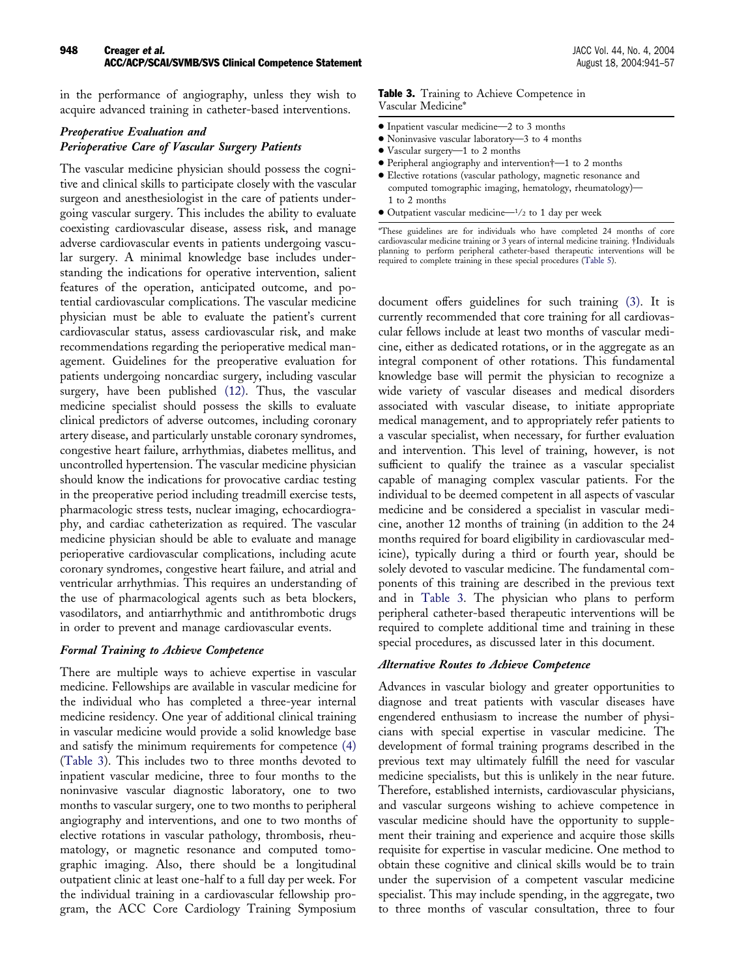in the performance of angiography, unless they wish to acquire advanced training in catheter-based interventions.

# *Preoperative Evaluation and Perioperative Care of Vascular Surgery Patients*

The vascular medicine physician should possess the cognitive and clinical skills to participate closely with the vascular surgeon and anesthesiologist in the care of patients undergoing vascular surgery. This includes the ability to evaluate coexisting cardiovascular disease, assess risk, and manage adverse cardiovascular events in patients undergoing vascular surgery. A minimal knowledge base includes understanding the indications for operative intervention, salient features of the operation, anticipated outcome, and potential cardiovascular complications. The vascular medicine physician must be able to evaluate the patient's current cardiovascular status, assess cardiovascular risk, and make recommendations regarding the perioperative medical management. Guidelines for the preoperative evaluation for patients undergoing noncardiac surgery, including vascular surgery, have been published [\(12\).](#page-16-0) Thus, the vascular medicine specialist should possess the skills to evaluate clinical predictors of adverse outcomes, including coronary artery disease, and particularly unstable coronary syndromes, congestive heart failure, arrhythmias, diabetes mellitus, and uncontrolled hypertension. The vascular medicine physician should know the indications for provocative cardiac testing in the preoperative period including treadmill exercise tests, pharmacologic stress tests, nuclear imaging, echocardiography, and cardiac catheterization as required. The vascular medicine physician should be able to evaluate and manage perioperative cardiovascular complications, including acute coronary syndromes, congestive heart failure, and atrial and ventricular arrhythmias. This requires an understanding of the use of pharmacological agents such as beta blockers, vasodilators, and antiarrhythmic and antithrombotic drugs in order to prevent and manage cardiovascular events.

# *Formal Training to Achieve Competence*

There are multiple ways to achieve expertise in vascular medicine. Fellowships are available in vascular medicine for the individual who has completed a three-year internal medicine residency. One year of additional clinical training in vascular medicine would provide a solid knowledge base and satisfy the minimum requirements for competence [\(4\)](#page-16-0) (Table 3). This includes two to three months devoted to inpatient vascular medicine, three to four months to the noninvasive vascular diagnostic laboratory, one to two months to vascular surgery, one to two months to peripheral angiography and interventions, and one to two months of elective rotations in vascular pathology, thrombosis, rheumatology, or magnetic resonance and computed tomographic imaging. Also, there should be a longitudinal outpatient clinic at least one-half to a full day per week. For the individual training in a cardiovascular fellowship program, the ACC Core Cardiology Training Symposium

### Table 3. Training to Achieve Competence in Vascular Medicine\*

- Inpatient vascular medicine—2 to 3 months
- Noninvasive vascular laboratory—3 to 4 months
- Vascular surgery—1 to 2 months
- Peripheral angiography and intervention†—1 to 2 months
- Elective rotations (vascular pathology, magnetic resonance and computed tomographic imaging, hematology, rheumatology)— 1 to 2 months
- $\bullet$  Outpatient vascular medicine— $\frac{1}{2}$  to 1 day per week

document offers guidelines for such training [\(3\).](#page-16-0) It is currently recommended that core training for all cardiovascular fellows include at least two months of vascular medicine, either as dedicated rotations, or in the aggregate as an integral component of other rotations. This fundamental knowledge base will permit the physician to recognize a wide variety of vascular diseases and medical disorders associated with vascular disease, to initiate appropriate medical management, and to appropriately refer patients to a vascular specialist, when necessary, for further evaluation and intervention. This level of training, however, is not sufficient to qualify the trainee as a vascular specialist capable of managing complex vascular patients. For the individual to be deemed competent in all aspects of vascular medicine and be considered a specialist in vascular medicine, another 12 months of training (in addition to the 24 months required for board eligibility in cardiovascular medicine), typically during a third or fourth year, should be solely devoted to vascular medicine. The fundamental components of this training are described in the previous text and in Table 3. The physician who plans to perform peripheral catheter-based therapeutic interventions will be required to complete additional time and training in these special procedures, as discussed later in this document.

# *Alternative Routes to Achieve Competence*

Advances in vascular biology and greater opportunities to diagnose and treat patients with vascular diseases have engendered enthusiasm to increase the number of physicians with special expertise in vascular medicine. The development of formal training programs described in the previous text may ultimately fulfill the need for vascular medicine specialists, but this is unlikely in the near future. Therefore, established internists, cardiovascular physicians, and vascular surgeons wishing to achieve competence in vascular medicine should have the opportunity to supplement their training and experience and acquire those skills requisite for expertise in vascular medicine. One method to obtain these cognitive and clinical skills would be to train under the supervision of a competent vascular medicine specialist. This may include spending, in the aggregate, two to three months of vascular consultation, three to four

<sup>\*</sup>These guidelines are for individuals who have completed 24 months of core cardiovascular medicine training or 3 years of internal medicine training. †Individuals planning to perform peripheral catheter-based therapeutic interventions will be required to complete training in these special procedures [\(Table 5\)](#page-12-0).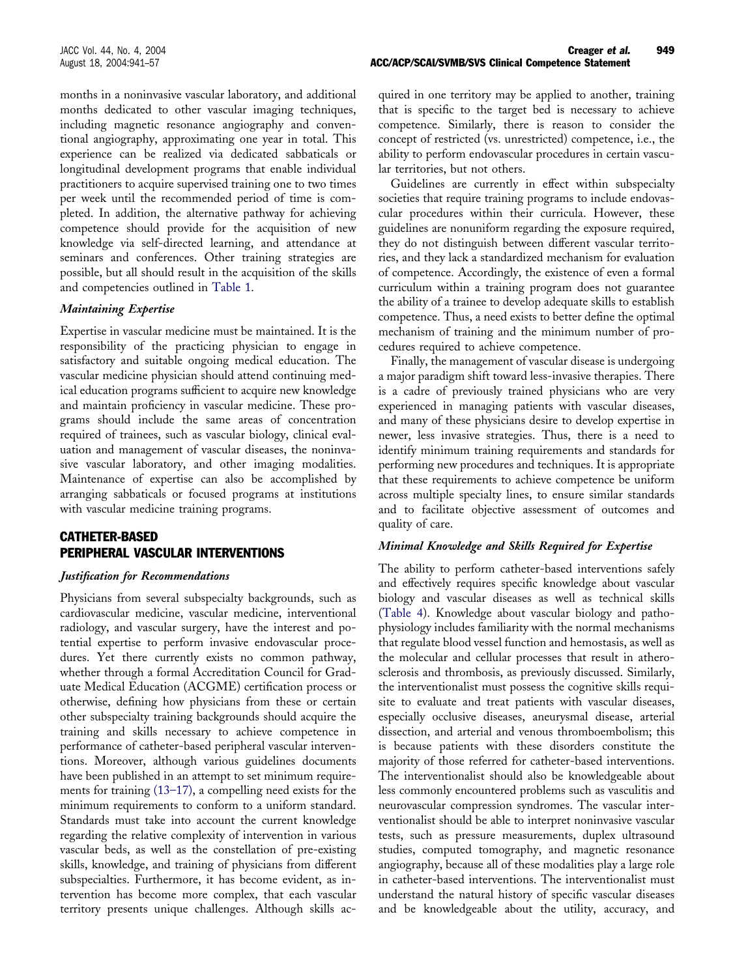months in a noninvasive vascular laboratory, and additional months dedicated to other vascular imaging techniques, including magnetic resonance angiography and conventional angiography, approximating one year in total. This experience can be realized via dedicated sabbaticals or longitudinal development programs that enable individual practitioners to acquire supervised training one to two times per week until the recommended period of time is completed. In addition, the alternative pathway for achieving competence should provide for the acquisition of new knowledge via self-directed learning, and attendance at seminars and conferences. Other training strategies are possible, but all should result in the acquisition of the skills and competencies outlined in [Table 1.](#page-4-0)

### *Maintaining Expertise*

Expertise in vascular medicine must be maintained. It is the responsibility of the practicing physician to engage in satisfactory and suitable ongoing medical education. The vascular medicine physician should attend continuing medical education programs sufficient to acquire new knowledge and maintain proficiency in vascular medicine. These programs should include the same areas of concentration required of trainees, such as vascular biology, clinical evaluation and management of vascular diseases, the noninvasive vascular laboratory, and other imaging modalities. Maintenance of expertise can also be accomplished by arranging sabbaticals or focused programs at institutions with vascular medicine training programs.

# CATHETER-BASED PERIPHERAL VASCULAR INTERVENTIONS

### *Justification for Recommendations*

Physicians from several subspecialty backgrounds, such as cardiovascular medicine, vascular medicine, interventional radiology, and vascular surgery, have the interest and potential expertise to perform invasive endovascular procedures. Yet there currently exists no common pathway, whether through a formal Accreditation Council for Graduate Medical Education (ACGME) certification process or otherwise, defining how physicians from these or certain other subspecialty training backgrounds should acquire the training and skills necessary to achieve competence in performance of catheter-based peripheral vascular interventions. Moreover, although various guidelines documents have been published in an attempt to set minimum requirements for training [\(13–17\),](#page-16-0) a compelling need exists for the minimum requirements to conform to a uniform standard. Standards must take into account the current knowledge regarding the relative complexity of intervention in various vascular beds, as well as the constellation of pre-existing skills, knowledge, and training of physicians from different subspecialties. Furthermore, it has become evident, as intervention has become more complex, that each vascular territory presents unique challenges. Although skills acquired in one territory may be applied to another, training that is specific to the target bed is necessary to achieve competence. Similarly, there is reason to consider the concept of restricted (vs. unrestricted) competence, i.e., the ability to perform endovascular procedures in certain vascular territories, but not others.

Guidelines are currently in effect within subspecialty societies that require training programs to include endovascular procedures within their curricula. However, these guidelines are nonuniform regarding the exposure required, they do not distinguish between different vascular territories, and they lack a standardized mechanism for evaluation of competence. Accordingly, the existence of even a formal curriculum within a training program does not guarantee the ability of a trainee to develop adequate skills to establish competence. Thus, a need exists to better define the optimal mechanism of training and the minimum number of procedures required to achieve competence.

Finally, the management of vascular disease is undergoing a major paradigm shift toward less-invasive therapies. There is a cadre of previously trained physicians who are very experienced in managing patients with vascular diseases, and many of these physicians desire to develop expertise in newer, less invasive strategies. Thus, there is a need to identify minimum training requirements and standards for performing new procedures and techniques. It is appropriate that these requirements to achieve competence be uniform across multiple specialty lines, to ensure similar standards and to facilitate objective assessment of outcomes and quality of care.

### *Minimal Knowledge and Skills Required for Expertise*

The ability to perform catheter-based interventions safely and effectively requires specific knowledge about vascular biology and vascular diseases as well as technical skills [\(Table 4\)](#page-9-0). Knowledge about vascular biology and pathophysiology includes familiarity with the normal mechanisms that regulate blood vessel function and hemostasis, as well as the molecular and cellular processes that result in atherosclerosis and thrombosis, as previously discussed. Similarly, the interventionalist must possess the cognitive skills requisite to evaluate and treat patients with vascular diseases, especially occlusive diseases, aneurysmal disease, arterial dissection, and arterial and venous thromboembolism; this is because patients with these disorders constitute the majority of those referred for catheter-based interventions. The interventionalist should also be knowledgeable about less commonly encountered problems such as vasculitis and neurovascular compression syndromes. The vascular interventionalist should be able to interpret noninvasive vascular tests, such as pressure measurements, duplex ultrasound studies, computed tomography, and magnetic resonance angiography, because all of these modalities play a large role in catheter-based interventions. The interventionalist must understand the natural history of specific vascular diseases and be knowledgeable about the utility, accuracy, and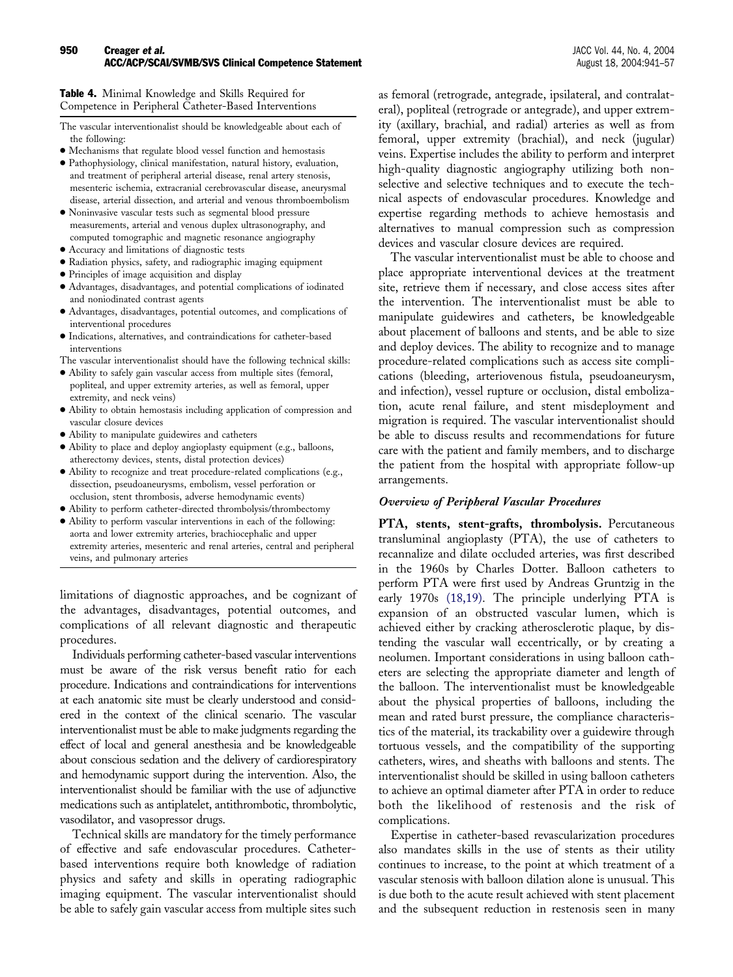#### <span id="page-9-0"></span>**950 Creager** *et al.*  $\blacksquare$ ACC/ACP/SCAI/SVMB/SVS Clinical Competence Statement August 18, 2004:941-57

Table 4. Minimal Knowledge and Skills Required for Competence in Peripheral Catheter-Based Interventions

The vascular interventionalist should be knowledgeable about each of the following:

- Mechanisms that regulate blood vessel function and hemostasis
- Pathophysiology, clinical manifestation, natural history, evaluation, and treatment of peripheral arterial disease, renal artery stenosis, mesenteric ischemia, extracranial cerebrovascular disease, aneurysmal disease, arterial dissection, and arterial and venous thromboembolism
- Noninvasive vascular tests such as segmental blood pressure measurements, arterial and venous duplex ultrasonography, and computed tomographic and magnetic resonance angiography
- Accuracy and limitations of diagnostic tests
- Radiation physics, safety, and radiographic imaging equipment
- Principles of image acquisition and display
- Advantages, disadvantages, and potential complications of iodinated and noniodinated contrast agents
- Advantages, disadvantages, potential outcomes, and complications of interventional procedures
- Indications, alternatives, and contraindications for catheter-based interventions
- The vascular interventionalist should have the following technical skills:
- Ability to safely gain vascular access from multiple sites (femoral, popliteal, and upper extremity arteries, as well as femoral, upper extremity, and neck veins)
- Ability to obtain hemostasis including application of compression and vascular closure devices
- Ability to manipulate guidewires and catheters
- Ability to place and deploy angioplasty equipment (e.g., balloons, atherectomy devices, stents, distal protection devices)
- Ability to recognize and treat procedure-related complications (e.g., dissection, pseudoaneurysms, embolism, vessel perforation or occlusion, stent thrombosis, adverse hemodynamic events)
- Ability to perform catheter-directed thrombolysis/thrombectomy
- Ability to perform vascular interventions in each of the following: aorta and lower extremity arteries, brachiocephalic and upper extremity arteries, mesenteric and renal arteries, central and peripheral veins, and pulmonary arteries

limitations of diagnostic approaches, and be cognizant of the advantages, disadvantages, potential outcomes, and complications of all relevant diagnostic and therapeutic procedures.

Individuals performing catheter-based vascular interventions must be aware of the risk versus benefit ratio for each procedure. Indications and contraindications for interventions at each anatomic site must be clearly understood and considered in the context of the clinical scenario. The vascular interventionalist must be able to make judgments regarding the effect of local and general anesthesia and be knowledgeable about conscious sedation and the delivery of cardiorespiratory and hemodynamic support during the intervention. Also, the interventionalist should be familiar with the use of adjunctive medications such as antiplatelet, antithrombotic, thrombolytic, vasodilator, and vasopressor drugs.

Technical skills are mandatory for the timely performance of effective and safe endovascular procedures. Catheterbased interventions require both knowledge of radiation physics and safety and skills in operating radiographic imaging equipment. The vascular interventionalist should be able to safely gain vascular access from multiple sites such

as femoral (retrograde, antegrade, ipsilateral, and contralateral), popliteal (retrograde or antegrade), and upper extremity (axillary, brachial, and radial) arteries as well as from femoral, upper extremity (brachial), and neck (jugular) veins. Expertise includes the ability to perform and interpret high-quality diagnostic angiography utilizing both nonselective and selective techniques and to execute the technical aspects of endovascular procedures. Knowledge and expertise regarding methods to achieve hemostasis and alternatives to manual compression such as compression devices and vascular closure devices are required.

The vascular interventionalist must be able to choose and place appropriate interventional devices at the treatment site, retrieve them if necessary, and close access sites after the intervention. The interventionalist must be able to manipulate guidewires and catheters, be knowledgeable about placement of balloons and stents, and be able to size and deploy devices. The ability to recognize and to manage procedure-related complications such as access site complications (bleeding, arteriovenous fistula, pseudoaneurysm, and infection), vessel rupture or occlusion, distal embolization, acute renal failure, and stent misdeployment and migration is required. The vascular interventionalist should be able to discuss results and recommendations for future care with the patient and family members, and to discharge the patient from the hospital with appropriate follow-up arrangements.

# *Overview of Peripheral Vascular Procedures*

**PTA, stents, stent-grafts, thrombolysis.** Percutaneous transluminal angioplasty (PTA), the use of catheters to recannalize and dilate occluded arteries, was first described in the 1960s by Charles Dotter. Balloon catheters to perform PTA were first used by Andreas Gruntzig in the early 1970s [\(18,19\).](#page-16-0) The principle underlying PTA is expansion of an obstructed vascular lumen, which is achieved either by cracking atherosclerotic plaque, by distending the vascular wall eccentrically, or by creating a neolumen. Important considerations in using balloon catheters are selecting the appropriate diameter and length of the balloon. The interventionalist must be knowledgeable about the physical properties of balloons, including the mean and rated burst pressure, the compliance characteristics of the material, its trackability over a guidewire through tortuous vessels, and the compatibility of the supporting catheters, wires, and sheaths with balloons and stents. The interventionalist should be skilled in using balloon catheters to achieve an optimal diameter after PTA in order to reduce both the likelihood of restenosis and the risk of complications.

Expertise in catheter-based revascularization procedures also mandates skills in the use of stents as their utility continues to increase, to the point at which treatment of a vascular stenosis with balloon dilation alone is unusual. This is due both to the acute result achieved with stent placement and the subsequent reduction in restenosis seen in many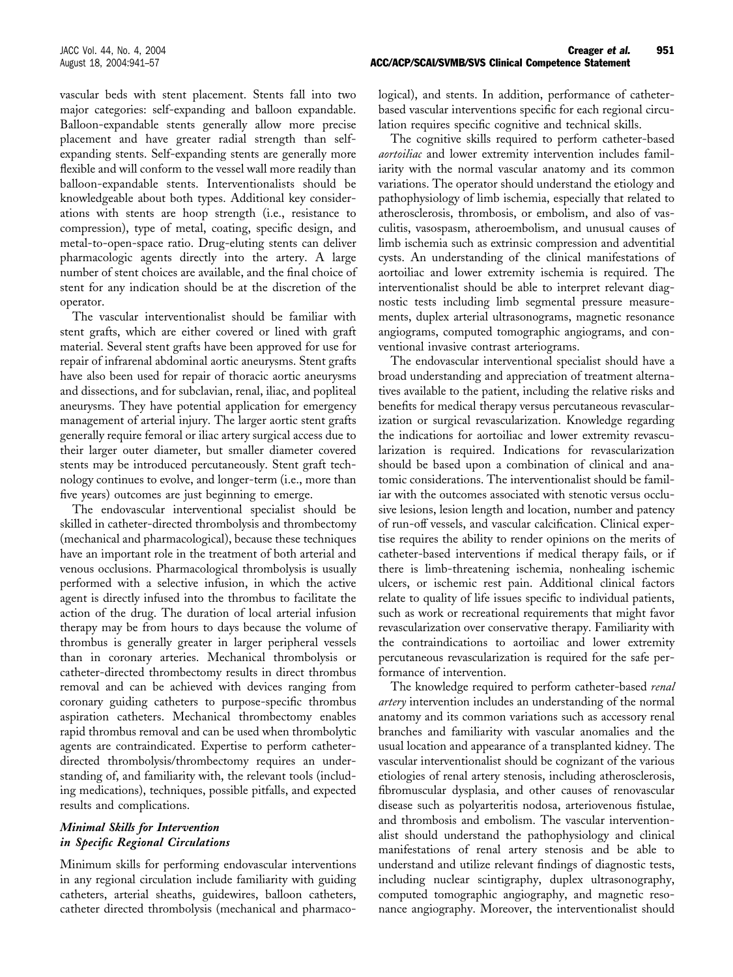vascular beds with stent placement. Stents fall into two major categories: self-expanding and balloon expandable. Balloon-expandable stents generally allow more precise placement and have greater radial strength than selfexpanding stents. Self-expanding stents are generally more flexible and will conform to the vessel wall more readily than balloon-expandable stents. Interventionalists should be knowledgeable about both types. Additional key considerations with stents are hoop strength (i.e., resistance to compression), type of metal, coating, specific design, and metal-to-open-space ratio. Drug-eluting stents can deliver pharmacologic agents directly into the artery. A large number of stent choices are available, and the final choice of stent for any indication should be at the discretion of the operator.

The vascular interventionalist should be familiar with stent grafts, which are either covered or lined with graft material. Several stent grafts have been approved for use for repair of infrarenal abdominal aortic aneurysms. Stent grafts have also been used for repair of thoracic aortic aneurysms and dissections, and for subclavian, renal, iliac, and popliteal aneurysms. They have potential application for emergency management of arterial injury. The larger aortic stent grafts generally require femoral or iliac artery surgical access due to their larger outer diameter, but smaller diameter covered stents may be introduced percutaneously. Stent graft technology continues to evolve, and longer-term (i.e., more than five years) outcomes are just beginning to emerge.

The endovascular interventional specialist should be skilled in catheter-directed thrombolysis and thrombectomy (mechanical and pharmacological), because these techniques have an important role in the treatment of both arterial and venous occlusions. Pharmacological thrombolysis is usually performed with a selective infusion, in which the active agent is directly infused into the thrombus to facilitate the action of the drug. The duration of local arterial infusion therapy may be from hours to days because the volume of thrombus is generally greater in larger peripheral vessels than in coronary arteries. Mechanical thrombolysis or catheter-directed thrombectomy results in direct thrombus removal and can be achieved with devices ranging from coronary guiding catheters to purpose-specific thrombus aspiration catheters. Mechanical thrombectomy enables rapid thrombus removal and can be used when thrombolytic agents are contraindicated. Expertise to perform catheterdirected thrombolysis/thrombectomy requires an understanding of, and familiarity with, the relevant tools (including medications), techniques, possible pitfalls, and expected results and complications.

# *Minimal Skills for Intervention in Specific Regional Circulations*

Minimum skills for performing endovascular interventions in any regional circulation include familiarity with guiding catheters, arterial sheaths, guidewires, balloon catheters, catheter directed thrombolysis (mechanical and pharmacological), and stents. In addition, performance of catheterbased vascular interventions specific for each regional circulation requires specific cognitive and technical skills.

The cognitive skills required to perform catheter-based *aortoiliac* and lower extremity intervention includes familiarity with the normal vascular anatomy and its common variations. The operator should understand the etiology and pathophysiology of limb ischemia, especially that related to atherosclerosis, thrombosis, or embolism, and also of vasculitis, vasospasm, atheroembolism, and unusual causes of limb ischemia such as extrinsic compression and adventitial cysts. An understanding of the clinical manifestations of aortoiliac and lower extremity ischemia is required. The interventionalist should be able to interpret relevant diagnostic tests including limb segmental pressure measurements, duplex arterial ultrasonograms, magnetic resonance angiograms, computed tomographic angiograms, and conventional invasive contrast arteriograms.

The endovascular interventional specialist should have a broad understanding and appreciation of treatment alternatives available to the patient, including the relative risks and benefits for medical therapy versus percutaneous revascularization or surgical revascularization. Knowledge regarding the indications for aortoiliac and lower extremity revascularization is required. Indications for revascularization should be based upon a combination of clinical and anatomic considerations. The interventionalist should be familiar with the outcomes associated with stenotic versus occlusive lesions, lesion length and location, number and patency of run-off vessels, and vascular calcification. Clinical expertise requires the ability to render opinions on the merits of catheter-based interventions if medical therapy fails, or if there is limb-threatening ischemia, nonhealing ischemic ulcers, or ischemic rest pain. Additional clinical factors relate to quality of life issues specific to individual patients, such as work or recreational requirements that might favor revascularization over conservative therapy. Familiarity with the contraindications to aortoiliac and lower extremity percutaneous revascularization is required for the safe performance of intervention.

The knowledge required to perform catheter-based *renal artery* intervention includes an understanding of the normal anatomy and its common variations such as accessory renal branches and familiarity with vascular anomalies and the usual location and appearance of a transplanted kidney. The vascular interventionalist should be cognizant of the various etiologies of renal artery stenosis, including atherosclerosis, fibromuscular dysplasia, and other causes of renovascular disease such as polyarteritis nodosa, arteriovenous fistulae, and thrombosis and embolism. The vascular interventionalist should understand the pathophysiology and clinical manifestations of renal artery stenosis and be able to understand and utilize relevant findings of diagnostic tests, including nuclear scintigraphy, duplex ultrasonography, computed tomographic angiography, and magnetic resonance angiography. Moreover, the interventionalist should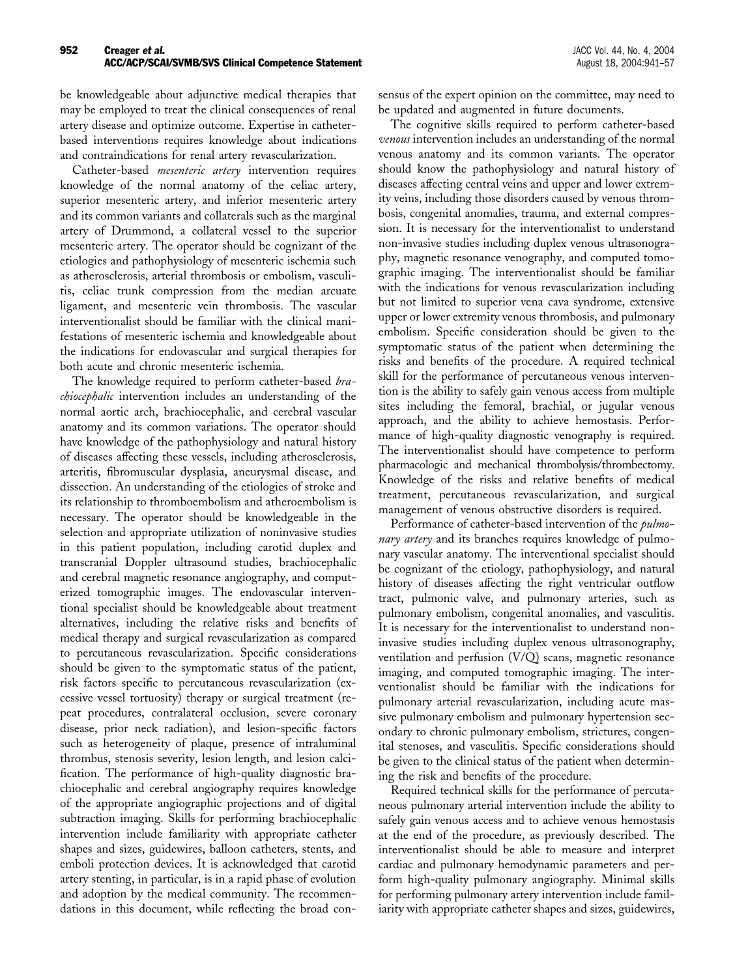#### **952 Creager et al. Creager et al. Creager et al. Creager et al. Creager et al. JACC Vol. 44, No. 4, 2004** ACC/ACP/SCAI/SVMB/SVS Clinical Competence Statement August 18, 2004:941-57

be knowledgeable about adjunctive medical therapies that may be employed to treat the clinical consequences of renal artery disease and optimize outcome. Expertise in catheterbased interventions requires knowledge about indications and contraindications for renal artery revascularization.

Catheter-based *mesenteric artery* intervention requires knowledge of the normal anatomy of the celiac artery, superior mesenteric artery, and inferior mesenteric artery and its common variants and collaterals such as the marginal artery of Drummond, a collateral vessel to the superior mesenteric artery. The operator should be cognizant of the etiologies and pathophysiology of mesenteric ischemia such as atherosclerosis, arterial thrombosis or embolism, vasculitis, celiac trunk compression from the median arcuate ligament, and mesenteric vein thrombosis. The vascular interventionalist should be familiar with the clinical manifestations of mesenteric ischemia and knowledgeable about the indications for endovascular and surgical therapies for both acute and chronic mesenteric ischemia.

The knowledge required to perform catheter-based *brachiocephalic* intervention includes an understanding of the normal aortic arch, brachiocephalic, and cerebral vascular anatomy and its common variations. The operator should have knowledge of the pathophysiology and natural history of diseases affecting these vessels, including atherosclerosis, arteritis, fibromuscular dysplasia, aneurysmal disease, and dissection. An understanding of the etiologies of stroke and its relationship to thromboembolism and atheroembolism is necessary. The operator should be knowledgeable in the selection and appropriate utilization of noninvasive studies in this patient population, including carotid duplex and transcranial Doppler ultrasound studies, brachiocephalic and cerebral magnetic resonance angiography, and computerized tomographic images. The endovascular interventional specialist should be knowledgeable about treatment alternatives, including the relative risks and benefits of medical therapy and surgical revascularization as compared to percutaneous revascularization. Specific considerations should be given to the symptomatic status of the patient, risk factors specific to percutaneous revascularization (excessive vessel tortuosity) therapy or surgical treatment (repeat procedures, contralateral occlusion, severe coronary disease, prior neck radiation), and lesion-specific factors such as heterogeneity of plaque, presence of intraluminal thrombus, stenosis severity, lesion length, and lesion calcification. The performance of high-quality diagnostic brachiocephalic and cerebral angiography requires knowledge of the appropriate angiographic projections and of digital subtraction imaging. Skills for performing brachiocephalic intervention include familiarity with appropriate catheter shapes and sizes, guidewires, balloon catheters, stents, and emboli protection devices. It is acknowledged that carotid artery stenting, in particular, is in a rapid phase of evolution and adoption by the medical community. The recommendations in this document, while reflecting the broad consensus of the expert opinion on the committee, may need to be updated and augmented in future documents.

The cognitive skills required to perform catheter-based *venous* intervention includes an understanding of the normal venous anatomy and its common variants. The operator should know the pathophysiology and natural history of diseases affecting central veins and upper and lower extremity veins, including those disorders caused by venous thrombosis, congenital anomalies, trauma, and external compression. It is necessary for the interventionalist to understand non-invasive studies including duplex venous ultrasonography, magnetic resonance venography, and computed tomographic imaging. The interventionalist should be familiar with the indications for venous revascularization including but not limited to superior vena cava syndrome, extensive upper or lower extremity venous thrombosis, and pulmonary embolism. Specific consideration should be given to the symptomatic status of the patient when determining the risks and benefits of the procedure. A required technical skill for the performance of percutaneous venous intervention is the ability to safely gain venous access from multiple sites including the femoral, brachial, or jugular venous approach, and the ability to achieve hemostasis. Performance of high-quality diagnostic venography is required. The interventionalist should have competence to perform pharmacologic and mechanical thrombolysis/thrombectomy. Knowledge of the risks and relative benefits of medical treatment, percutaneous revascularization, and surgical management of venous obstructive disorders is required.

Performance of catheter-based intervention of the *pulmonary artery* and its branches requires knowledge of pulmonary vascular anatomy. The interventional specialist should be cognizant of the etiology, pathophysiology, and natural history of diseases affecting the right ventricular outflow tract, pulmonic valve, and pulmonary arteries, such as pulmonary embolism, congenital anomalies, and vasculitis. It is necessary for the interventionalist to understand noninvasive studies including duplex venous ultrasonography, ventilation and perfusion (V/Q) scans, magnetic resonance imaging, and computed tomographic imaging. The interventionalist should be familiar with the indications for pulmonary arterial revascularization, including acute massive pulmonary embolism and pulmonary hypertension secondary to chronic pulmonary embolism, strictures, congenital stenoses, and vasculitis. Specific considerations should be given to the clinical status of the patient when determining the risk and benefits of the procedure.

Required technical skills for the performance of percutaneous pulmonary arterial intervention include the ability to safely gain venous access and to achieve venous hemostasis at the end of the procedure, as previously described. The interventionalist should be able to measure and interpret cardiac and pulmonary hemodynamic parameters and perform high-quality pulmonary angiography. Minimal skills for performing pulmonary artery intervention include familiarity with appropriate catheter shapes and sizes, guidewires,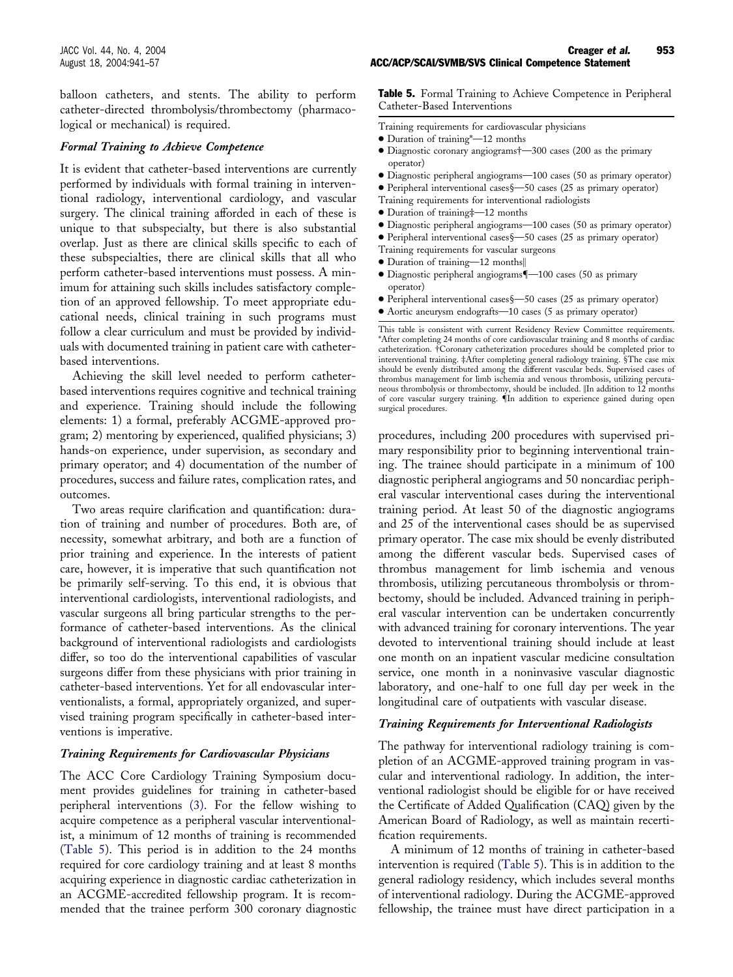<span id="page-12-0"></span>balloon catheters, and stents. The ability to perform catheter-directed thrombolysis/thrombectomy (pharmacological or mechanical) is required.

### *Formal Training to Achieve Competence*

It is evident that catheter-based interventions are currently performed by individuals with formal training in interventional radiology, interventional cardiology, and vascular surgery. The clinical training afforded in each of these is unique to that subspecialty, but there is also substantial overlap. Just as there are clinical skills specific to each of these subspecialties, there are clinical skills that all who perform catheter-based interventions must possess. A minimum for attaining such skills includes satisfactory completion of an approved fellowship. To meet appropriate educational needs, clinical training in such programs must follow a clear curriculum and must be provided by individuals with documented training in patient care with catheterbased interventions.

Achieving the skill level needed to perform catheterbased interventions requires cognitive and technical training and experience. Training should include the following elements: 1) a formal, preferably ACGME-approved program; 2) mentoring by experienced, qualified physicians; 3) hands-on experience, under supervision, as secondary and primary operator; and 4) documentation of the number of procedures, success and failure rates, complication rates, and outcomes.

Two areas require clarification and quantification: duration of training and number of procedures. Both are, of necessity, somewhat arbitrary, and both are a function of prior training and experience. In the interests of patient care, however, it is imperative that such quantification not be primarily self-serving. To this end, it is obvious that interventional cardiologists, interventional radiologists, and vascular surgeons all bring particular strengths to the performance of catheter-based interventions. As the clinical background of interventional radiologists and cardiologists differ, so too do the interventional capabilities of vascular surgeons differ from these physicians with prior training in catheter-based interventions. Yet for all endovascular interventionalists, a formal, appropriately organized, and supervised training program specifically in catheter-based interventions is imperative.

### *Training Requirements for Cardiovascular Physicians*

The ACC Core Cardiology Training Symposium document provides guidelines for training in catheter-based peripheral interventions [\(3\).](#page-16-0) For the fellow wishing to acquire competence as a peripheral vascular interventionalist, a minimum of 12 months of training is recommended (Table 5). This period is in addition to the 24 months required for core cardiology training and at least 8 months acquiring experience in diagnostic cardiac catheterization in an ACGME-accredited fellowship program. It is recommended that the trainee perform 300 coronary diagnostic Table 5. Formal Training to Achieve Competence in Peripheral Catheter-Based Interventions

- Training requirements for cardiovascular physicians
- Duration of training\*—12 months
- Diagnostic coronary angiograms†—300 cases (200 as the primary operator)
- Diagnostic peripheral angiograms—100 cases (50 as primary operator)
- Peripheral interventional cases§—50 cases (25 as primary operator)
- Training requirements for interventional radiologists
- Duration of training‡—12 months
- Diagnostic peripheral angiograms—100 cases (50 as primary operator)
- Peripheral interventional cases§—50 cases (25 as primary operator)
- Training requirements for vascular surgeons
- Duration of training-12 months
- Diagnostic peripheral angiograms¶—100 cases (50 as primary operator)
- Peripheral interventional cases§—50 cases (25 as primary operator)
- Aortic aneurysm endografts—10 cases (5 as primary operator)

This table is consistent with current Residency Review Committee requirements. \*After completing 24 months of core cardiovascular training and 8 months of cardiac catheterization. †Coronary catheterization procedures should be completed prior to interventional training. ‡After completing general radiology training. §The case mix should be evenly distributed among the different vascular beds. Supervised cases of thrombus management for limb ischemia and venous thrombosis, utilizing percutaneous thrombolysis or thrombectomy, should be included. |In addition to 12 months of core vascular surgery training. ¶In addition to experience gained during open surgical procedures.

procedures, including 200 procedures with supervised primary responsibility prior to beginning interventional training. The trainee should participate in a minimum of 100 diagnostic peripheral angiograms and 50 noncardiac peripheral vascular interventional cases during the interventional training period. At least 50 of the diagnostic angiograms and 25 of the interventional cases should be as supervised primary operator. The case mix should be evenly distributed among the different vascular beds. Supervised cases of thrombus management for limb ischemia and venous thrombosis, utilizing percutaneous thrombolysis or thrombectomy, should be included. Advanced training in peripheral vascular intervention can be undertaken concurrently with advanced training for coronary interventions. The year devoted to interventional training should include at least one month on an inpatient vascular medicine consultation service, one month in a noninvasive vascular diagnostic laboratory, and one-half to one full day per week in the longitudinal care of outpatients with vascular disease.

### *Training Requirements for Interventional Radiologists*

The pathway for interventional radiology training is completion of an ACGME-approved training program in vascular and interventional radiology. In addition, the interventional radiologist should be eligible for or have received the Certificate of Added Qualification (CAQ) given by the American Board of Radiology, as well as maintain recertification requirements.

A minimum of 12 months of training in catheter-based intervention is required (Table 5). This is in addition to the general radiology residency, which includes several months of interventional radiology. During the ACGME-approved fellowship, the trainee must have direct participation in a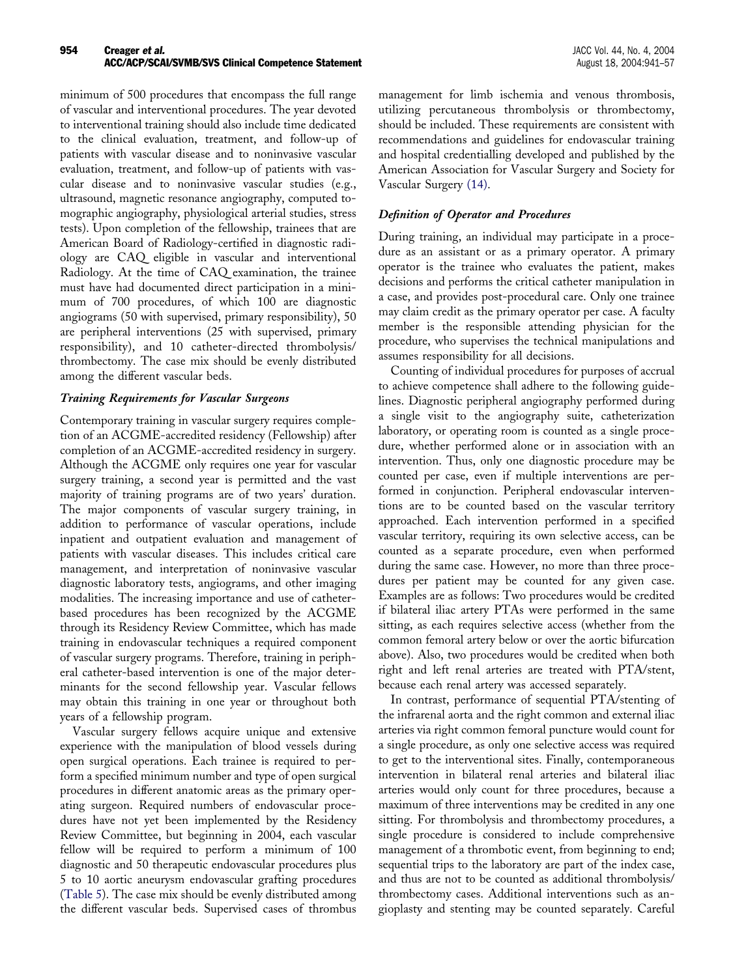#### **954 Creager** *et al.*  $\blacksquare$ ACC/ACP/SCAI/SVMB/SVS Clinical Competence Statement August 18, 2004:941-57

minimum of 500 procedures that encompass the full range of vascular and interventional procedures. The year devoted to interventional training should also include time dedicated to the clinical evaluation, treatment, and follow-up of patients with vascular disease and to noninvasive vascular evaluation, treatment, and follow-up of patients with vascular disease and to noninvasive vascular studies (e.g., ultrasound, magnetic resonance angiography, computed tomographic angiography, physiological arterial studies, stress tests). Upon completion of the fellowship, trainees that are American Board of Radiology-certified in diagnostic radiology are CAQ eligible in vascular and interventional Radiology. At the time of CAQ examination, the trainee must have had documented direct participation in a minimum of 700 procedures, of which 100 are diagnostic angiograms (50 with supervised, primary responsibility), 50 are peripheral interventions (25 with supervised, primary responsibility), and 10 catheter-directed thrombolysis/ thrombectomy. The case mix should be evenly distributed among the different vascular beds.

# *Training Requirements for Vascular Surgeons*

Contemporary training in vascular surgery requires completion of an ACGME-accredited residency (Fellowship) after completion of an ACGME-accredited residency in surgery. Although the ACGME only requires one year for vascular surgery training, a second year is permitted and the vast majority of training programs are of two years' duration. The major components of vascular surgery training, in addition to performance of vascular operations, include inpatient and outpatient evaluation and management of patients with vascular diseases. This includes critical care management, and interpretation of noninvasive vascular diagnostic laboratory tests, angiograms, and other imaging modalities. The increasing importance and use of catheterbased procedures has been recognized by the ACGME through its Residency Review Committee, which has made training in endovascular techniques a required component of vascular surgery programs. Therefore, training in peripheral catheter-based intervention is one of the major determinants for the second fellowship year. Vascular fellows may obtain this training in one year or throughout both years of a fellowship program.

Vascular surgery fellows acquire unique and extensive experience with the manipulation of blood vessels during open surgical operations. Each trainee is required to perform a specified minimum number and type of open surgical procedures in different anatomic areas as the primary operating surgeon. Required numbers of endovascular procedures have not yet been implemented by the Residency Review Committee, but beginning in 2004, each vascular fellow will be required to perform a minimum of 100 diagnostic and 50 therapeutic endovascular procedures plus 5 to 10 aortic aneurysm endovascular grafting procedures [\(Table 5\)](#page-12-0). The case mix should be evenly distributed among the different vascular beds. Supervised cases of thrombus

management for limb ischemia and venous thrombosis, utilizing percutaneous thrombolysis or thrombectomy, should be included. These requirements are consistent with recommendations and guidelines for endovascular training and hospital credentialling developed and published by the American Association for Vascular Surgery and Society for Vascular Surgery [\(14\).](#page-16-0)

# *Definition of Operator and Procedures*

During training, an individual may participate in a procedure as an assistant or as a primary operator. A primary operator is the trainee who evaluates the patient, makes decisions and performs the critical catheter manipulation in a case, and provides post-procedural care. Only one trainee may claim credit as the primary operator per case. A faculty member is the responsible attending physician for the procedure, who supervises the technical manipulations and assumes responsibility for all decisions.

Counting of individual procedures for purposes of accrual to achieve competence shall adhere to the following guidelines. Diagnostic peripheral angiography performed during a single visit to the angiography suite, catheterization laboratory, or operating room is counted as a single procedure, whether performed alone or in association with an intervention. Thus, only one diagnostic procedure may be counted per case, even if multiple interventions are performed in conjunction. Peripheral endovascular interventions are to be counted based on the vascular territory approached. Each intervention performed in a specified vascular territory, requiring its own selective access, can be counted as a separate procedure, even when performed during the same case. However, no more than three procedures per patient may be counted for any given case. Examples are as follows: Two procedures would be credited if bilateral iliac artery PTAs were performed in the same sitting, as each requires selective access (whether from the common femoral artery below or over the aortic bifurcation above). Also, two procedures would be credited when both right and left renal arteries are treated with PTA/stent, because each renal artery was accessed separately.

In contrast, performance of sequential PTA/stenting of the infrarenal aorta and the right common and external iliac arteries via right common femoral puncture would count for a single procedure, as only one selective access was required to get to the interventional sites. Finally, contemporaneous intervention in bilateral renal arteries and bilateral iliac arteries would only count for three procedures, because a maximum of three interventions may be credited in any one sitting. For thrombolysis and thrombectomy procedures, a single procedure is considered to include comprehensive management of a thrombotic event, from beginning to end; sequential trips to the laboratory are part of the index case, and thus are not to be counted as additional thrombolysis/ thrombectomy cases. Additional interventions such as angioplasty and stenting may be counted separately. Careful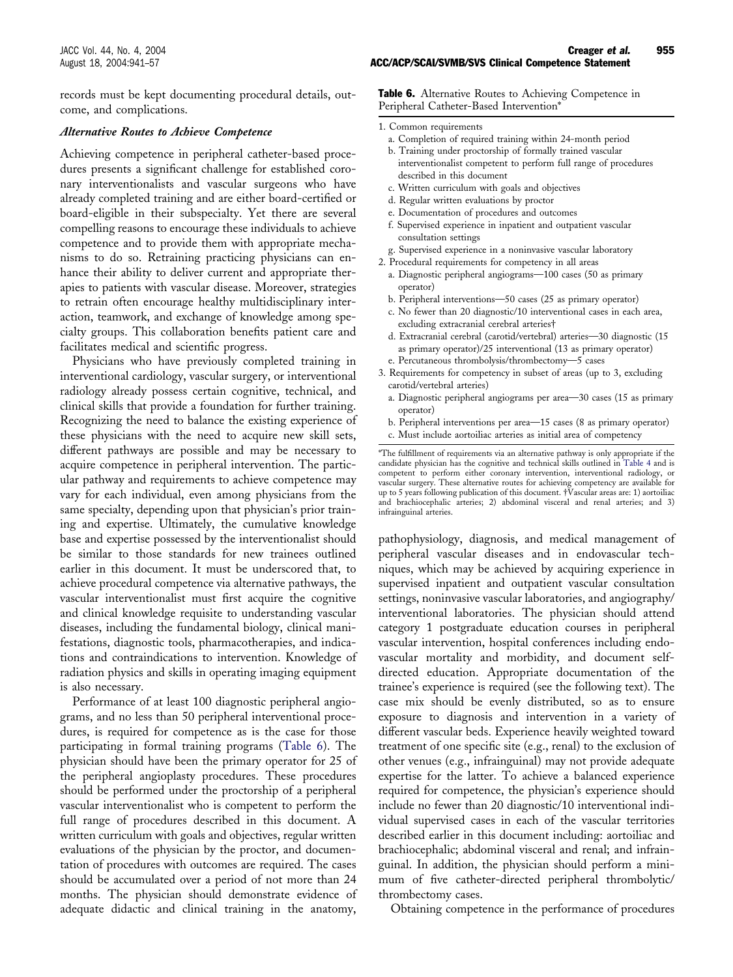records must be kept documenting procedural details, outcome, and complications.

### *Alternative Routes to Achieve Competence*

Achieving competence in peripheral catheter-based procedures presents a significant challenge for established coronary interventionalists and vascular surgeons who have already completed training and are either board-certified or board-eligible in their subspecialty. Yet there are several compelling reasons to encourage these individuals to achieve competence and to provide them with appropriate mechanisms to do so. Retraining practicing physicians can enhance their ability to deliver current and appropriate therapies to patients with vascular disease. Moreover, strategies to retrain often encourage healthy multidisciplinary interaction, teamwork, and exchange of knowledge among specialty groups. This collaboration benefits patient care and facilitates medical and scientific progress.

Physicians who have previously completed training in interventional cardiology, vascular surgery, or interventional radiology already possess certain cognitive, technical, and clinical skills that provide a foundation for further training. Recognizing the need to balance the existing experience of these physicians with the need to acquire new skill sets, different pathways are possible and may be necessary to acquire competence in peripheral intervention. The particular pathway and requirements to achieve competence may vary for each individual, even among physicians from the same specialty, depending upon that physician's prior training and expertise. Ultimately, the cumulative knowledge base and expertise possessed by the interventionalist should be similar to those standards for new trainees outlined earlier in this document. It must be underscored that, to achieve procedural competence via alternative pathways, the vascular interventionalist must first acquire the cognitive and clinical knowledge requisite to understanding vascular diseases, including the fundamental biology, clinical manifestations, diagnostic tools, pharmacotherapies, and indications and contraindications to intervention. Knowledge of radiation physics and skills in operating imaging equipment is also necessary.

Performance of at least 100 diagnostic peripheral angiograms, and no less than 50 peripheral interventional procedures, is required for competence as is the case for those participating in formal training programs (Table 6). The physician should have been the primary operator for 25 of the peripheral angioplasty procedures. These procedures should be performed under the proctorship of a peripheral vascular interventionalist who is competent to perform the full range of procedures described in this document. A written curriculum with goals and objectives, regular written evaluations of the physician by the proctor, and documentation of procedures with outcomes are required. The cases should be accumulated over a period of not more than 24 months. The physician should demonstrate evidence of adequate didactic and clinical training in the anatomy,

Table 6. Alternative Routes to Achieving Competence in Peripheral Catheter-Based Intervention\*

#### 1. Common requirements

- a. Completion of required training within 24-month period b. Training under proctorship of formally trained vascular
- interventionalist competent to perform full range of procedures described in this document
- c. Written curriculum with goals and objectives
- d. Regular written evaluations by proctor
- e. Documentation of procedures and outcomes
- f. Supervised experience in inpatient and outpatient vascular consultation settings
- g. Supervised experience in a noninvasive vascular laboratory
- 2. Procedural requirements for competency in all areas
	- a. Diagnostic peripheral angiograms—100 cases (50 as primary operator)
	- b. Peripheral interventions—50 cases (25 as primary operator)
	- c. No fewer than 20 diagnostic/10 interventional cases in each area, excluding extracranial cerebral arteries†
	- d. Extracranial cerebral (carotid/vertebral) arteries—30 diagnostic (15 as primary operator)/25 interventional (13 as primary operator)
	- e. Percutaneous thrombolysis/thrombectomy—5 cases
- 3. Requirements for competency in subset of areas (up to 3, excluding carotid/vertebral arteries)
	- a. Diagnostic peripheral angiograms per area—30 cases (15 as primary operator)
	- b. Peripheral interventions per area—15 cases (8 as primary operator)
	- c. Must include aortoiliac arteries as initial area of competency

\*The fulfillment of requirements via an alternative pathway is only appropriate if the candidate physician has the cognitive and technical skills outlined in [Table 4](#page-9-0) and is competent to perform either coronary intervention, interventional radiology, or vascular surgery. These alternative routes for achieving competency are available for up to 5 years following publication of this document. †Vascular areas are: 1) aortoiliac and brachiocephalic arteries; 2) abdominal visceral and renal arteries; and 3) infrainguinal arteries.

pathophysiology, diagnosis, and medical management of peripheral vascular diseases and in endovascular techniques, which may be achieved by acquiring experience in supervised inpatient and outpatient vascular consultation settings, noninvasive vascular laboratories, and angiography/ interventional laboratories. The physician should attend category 1 postgraduate education courses in peripheral vascular intervention, hospital conferences including endovascular mortality and morbidity, and document selfdirected education. Appropriate documentation of the trainee's experience is required (see the following text). The case mix should be evenly distributed, so as to ensure exposure to diagnosis and intervention in a variety of different vascular beds. Experience heavily weighted toward treatment of one specific site (e.g., renal) to the exclusion of other venues (e.g., infrainguinal) may not provide adequate expertise for the latter. To achieve a balanced experience required for competence, the physician's experience should include no fewer than 20 diagnostic/10 interventional individual supervised cases in each of the vascular territories described earlier in this document including: aortoiliac and brachiocephalic; abdominal visceral and renal; and infrainguinal. In addition, the physician should perform a minimum of five catheter-directed peripheral thrombolytic/ thrombectomy cases.

Obtaining competence in the performance of procedures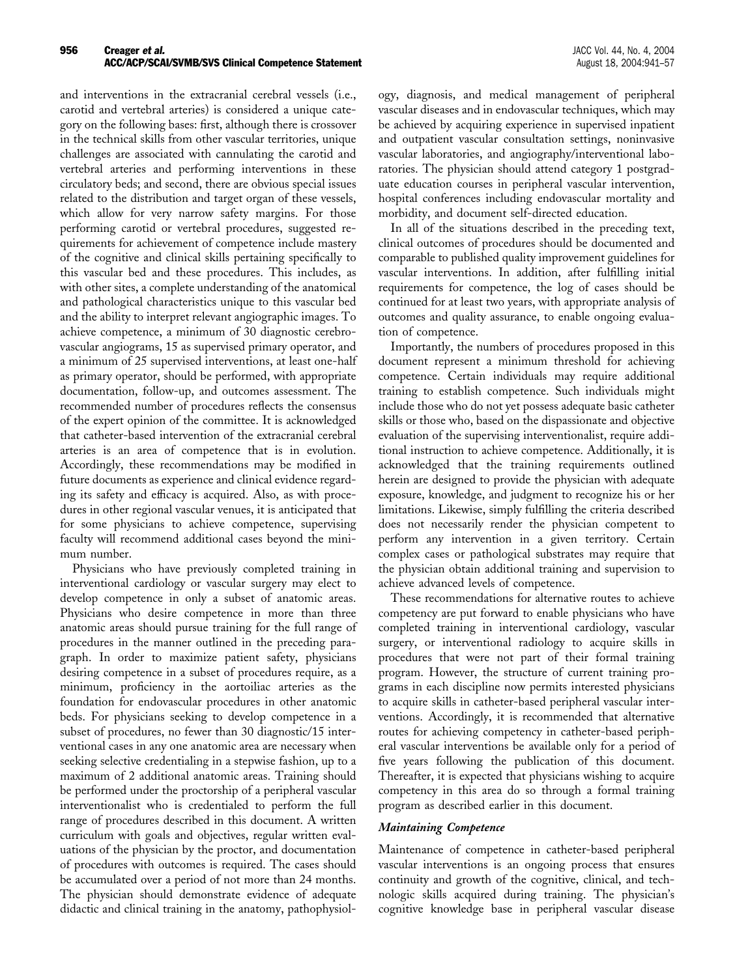#### **956 Creager** *et al.* JACC Vol. 44, No. 4, 2004 ACC/ACP/SCAI/SVMB/SVS Clinical Competence Statement August 18, 2004:941-57

and interventions in the extracranial cerebral vessels (i.e., carotid and vertebral arteries) is considered a unique category on the following bases: first, although there is crossover in the technical skills from other vascular territories, unique challenges are associated with cannulating the carotid and vertebral arteries and performing interventions in these circulatory beds; and second, there are obvious special issues related to the distribution and target organ of these vessels, which allow for very narrow safety margins. For those performing carotid or vertebral procedures, suggested requirements for achievement of competence include mastery of the cognitive and clinical skills pertaining specifically to this vascular bed and these procedures. This includes, as with other sites, a complete understanding of the anatomical and pathological characteristics unique to this vascular bed and the ability to interpret relevant angiographic images. To achieve competence, a minimum of 30 diagnostic cerebrovascular angiograms, 15 as supervised primary operator, and a minimum of 25 supervised interventions, at least one-half as primary operator, should be performed, with appropriate documentation, follow-up, and outcomes assessment. The recommended number of procedures reflects the consensus of the expert opinion of the committee. It is acknowledged that catheter-based intervention of the extracranial cerebral arteries is an area of competence that is in evolution. Accordingly, these recommendations may be modified in future documents as experience and clinical evidence regarding its safety and efficacy is acquired. Also, as with procedures in other regional vascular venues, it is anticipated that for some physicians to achieve competence, supervising faculty will recommend additional cases beyond the minimum number.

Physicians who have previously completed training in interventional cardiology or vascular surgery may elect to develop competence in only a subset of anatomic areas. Physicians who desire competence in more than three anatomic areas should pursue training for the full range of procedures in the manner outlined in the preceding paragraph. In order to maximize patient safety, physicians desiring competence in a subset of procedures require, as a minimum, proficiency in the aortoiliac arteries as the foundation for endovascular procedures in other anatomic beds. For physicians seeking to develop competence in a subset of procedures, no fewer than 30 diagnostic/15 interventional cases in any one anatomic area are necessary when seeking selective credentialing in a stepwise fashion, up to a maximum of 2 additional anatomic areas. Training should be performed under the proctorship of a peripheral vascular interventionalist who is credentialed to perform the full range of procedures described in this document. A written curriculum with goals and objectives, regular written evaluations of the physician by the proctor, and documentation of procedures with outcomes is required. The cases should be accumulated over a period of not more than 24 months. The physician should demonstrate evidence of adequate didactic and clinical training in the anatomy, pathophysiology, diagnosis, and medical management of peripheral vascular diseases and in endovascular techniques, which may be achieved by acquiring experience in supervised inpatient and outpatient vascular consultation settings, noninvasive vascular laboratories, and angiography/interventional laboratories. The physician should attend category 1 postgraduate education courses in peripheral vascular intervention, hospital conferences including endovascular mortality and morbidity, and document self-directed education.

In all of the situations described in the preceding text, clinical outcomes of procedures should be documented and comparable to published quality improvement guidelines for vascular interventions. In addition, after fulfilling initial requirements for competence, the log of cases should be continued for at least two years, with appropriate analysis of outcomes and quality assurance, to enable ongoing evaluation of competence.

Importantly, the numbers of procedures proposed in this document represent a minimum threshold for achieving competence. Certain individuals may require additional training to establish competence. Such individuals might include those who do not yet possess adequate basic catheter skills or those who, based on the dispassionate and objective evaluation of the supervising interventionalist, require additional instruction to achieve competence. Additionally, it is acknowledged that the training requirements outlined herein are designed to provide the physician with adequate exposure, knowledge, and judgment to recognize his or her limitations. Likewise, simply fulfilling the criteria described does not necessarily render the physician competent to perform any intervention in a given territory. Certain complex cases or pathological substrates may require that the physician obtain additional training and supervision to achieve advanced levels of competence.

These recommendations for alternative routes to achieve competency are put forward to enable physicians who have completed training in interventional cardiology, vascular surgery, or interventional radiology to acquire skills in procedures that were not part of their formal training program. However, the structure of current training programs in each discipline now permits interested physicians to acquire skills in catheter-based peripheral vascular interventions. Accordingly, it is recommended that alternative routes for achieving competency in catheter-based peripheral vascular interventions be available only for a period of five years following the publication of this document. Thereafter, it is expected that physicians wishing to acquire competency in this area do so through a formal training program as described earlier in this document.

# *Maintaining Competence*

Maintenance of competence in catheter-based peripheral vascular interventions is an ongoing process that ensures continuity and growth of the cognitive, clinical, and technologic skills acquired during training. The physician's cognitive knowledge base in peripheral vascular disease